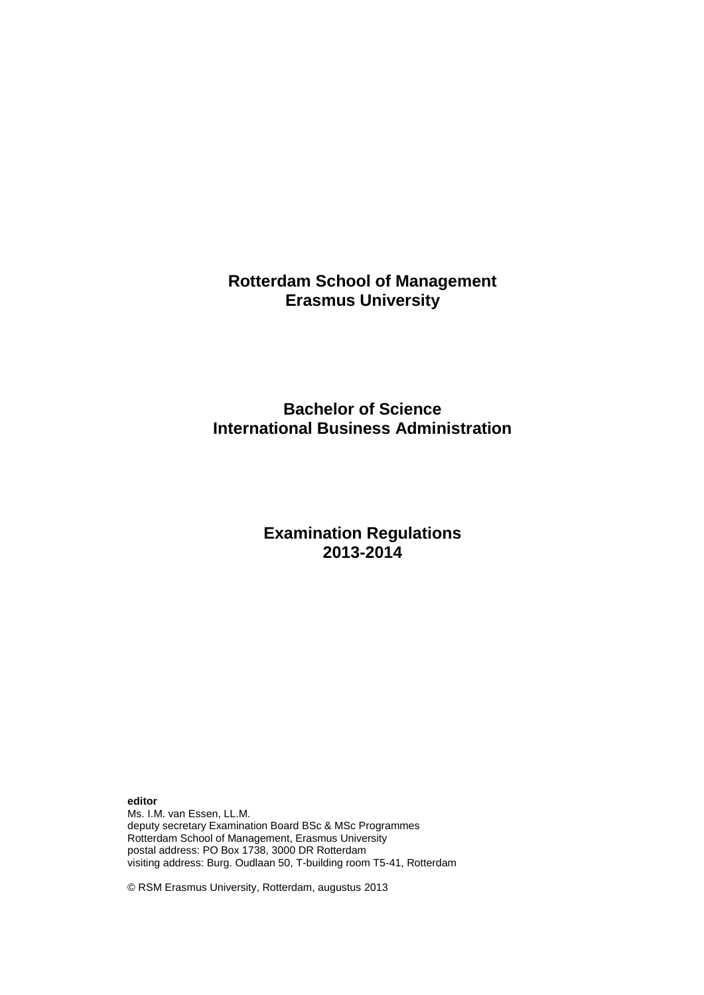**Rotterdam School of Management Erasmus University** 

# **Bachelor of Science International Business Administration**

# **Examination Regulations 2013-2014**

**editor**

Ms. I.M. van Essen, LL.M. deputy secretary Examination Board BSc & MSc Programmes Rotterdam School of Management, Erasmus University postal address: PO Box 1738, 3000 DR Rotterdam visiting address: Burg. Oudlaan 50, T-building room T5-41, Rotterdam

© RSM Erasmus University, Rotterdam, augustus 2013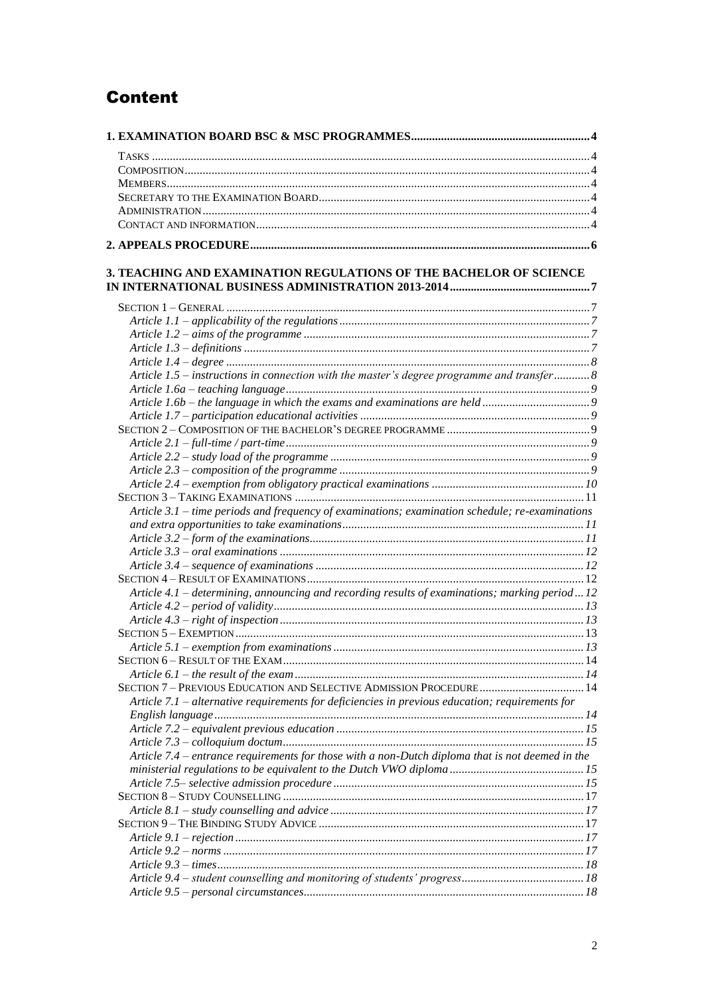# **Content**

| 3. TEACHING AND EXAMINATION REGULATIONS OF THE BACHELOR OF SCIENCE                               |  |
|--------------------------------------------------------------------------------------------------|--|
|                                                                                                  |  |
|                                                                                                  |  |
|                                                                                                  |  |
|                                                                                                  |  |
|                                                                                                  |  |
|                                                                                                  |  |
| Article 1.5 – instructions in connection with the master's degree programme and transfer 8       |  |
|                                                                                                  |  |
|                                                                                                  |  |
|                                                                                                  |  |
|                                                                                                  |  |
|                                                                                                  |  |
|                                                                                                  |  |
|                                                                                                  |  |
|                                                                                                  |  |
|                                                                                                  |  |
| Article 3.1 – time periods and frequency of examinations; examination schedule; re-examinations  |  |
|                                                                                                  |  |
|                                                                                                  |  |
|                                                                                                  |  |
|                                                                                                  |  |
|                                                                                                  |  |
|                                                                                                  |  |
| Article 4.1 – determining, announcing and recording results of examinations; marking period12    |  |
|                                                                                                  |  |
|                                                                                                  |  |
|                                                                                                  |  |
|                                                                                                  |  |
|                                                                                                  |  |
|                                                                                                  |  |
| SECTION 7 - PREVIOUS EDUCATION AND SELECTIVE ADMISSION PROCEDURE 14                              |  |
| Article 7.1 – alternative requirements for deficiencies in previous education; requirements for  |  |
|                                                                                                  |  |
|                                                                                                  |  |
|                                                                                                  |  |
| Article 7.4 – entrance requirements for those with a non-Dutch diploma that is not deemed in the |  |
|                                                                                                  |  |
|                                                                                                  |  |
|                                                                                                  |  |
|                                                                                                  |  |
|                                                                                                  |  |
|                                                                                                  |  |
|                                                                                                  |  |
|                                                                                                  |  |
|                                                                                                  |  |
|                                                                                                  |  |
|                                                                                                  |  |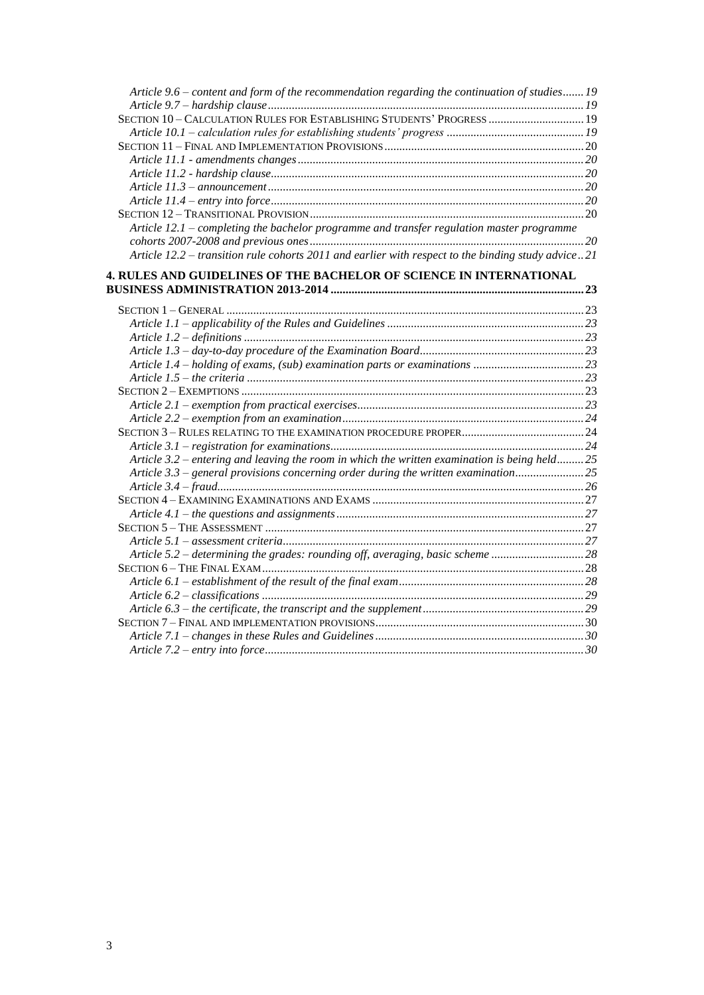| Article 9.6 - content and form of the recommendation regarding the continuation of studies 19      |  |
|----------------------------------------------------------------------------------------------------|--|
|                                                                                                    |  |
| SECTION 10 - CALCULATION RULES FOR ESTABLISHING STUDENTS' PROGRESS  19                             |  |
|                                                                                                    |  |
|                                                                                                    |  |
|                                                                                                    |  |
|                                                                                                    |  |
|                                                                                                    |  |
|                                                                                                    |  |
|                                                                                                    |  |
| Article 12.1 - completing the bachelor programme and transfer regulation master programme          |  |
|                                                                                                    |  |
| Article 12.2 – transition rule cohorts 2011 and earlier with respect to the binding study advice21 |  |
| 4. RULES AND GUIDELINES OF THE BACHELOR OF SCIENCE IN INTERNATIONAL                                |  |
|                                                                                                    |  |
|                                                                                                    |  |
|                                                                                                    |  |
|                                                                                                    |  |
|                                                                                                    |  |
|                                                                                                    |  |
|                                                                                                    |  |
|                                                                                                    |  |
|                                                                                                    |  |
|                                                                                                    |  |
|                                                                                                    |  |
|                                                                                                    |  |
| Article 3.2 – entering and leaving the room in which the written examination is being held25       |  |
| Article 3.3 – general provisions concerning order during the written examination25                 |  |
|                                                                                                    |  |
|                                                                                                    |  |
|                                                                                                    |  |
|                                                                                                    |  |
|                                                                                                    |  |
| Article 5.2 – determining the grades: rounding off, averaging, basic scheme 28                     |  |
|                                                                                                    |  |
|                                                                                                    |  |
|                                                                                                    |  |
|                                                                                                    |  |
|                                                                                                    |  |
|                                                                                                    |  |
|                                                                                                    |  |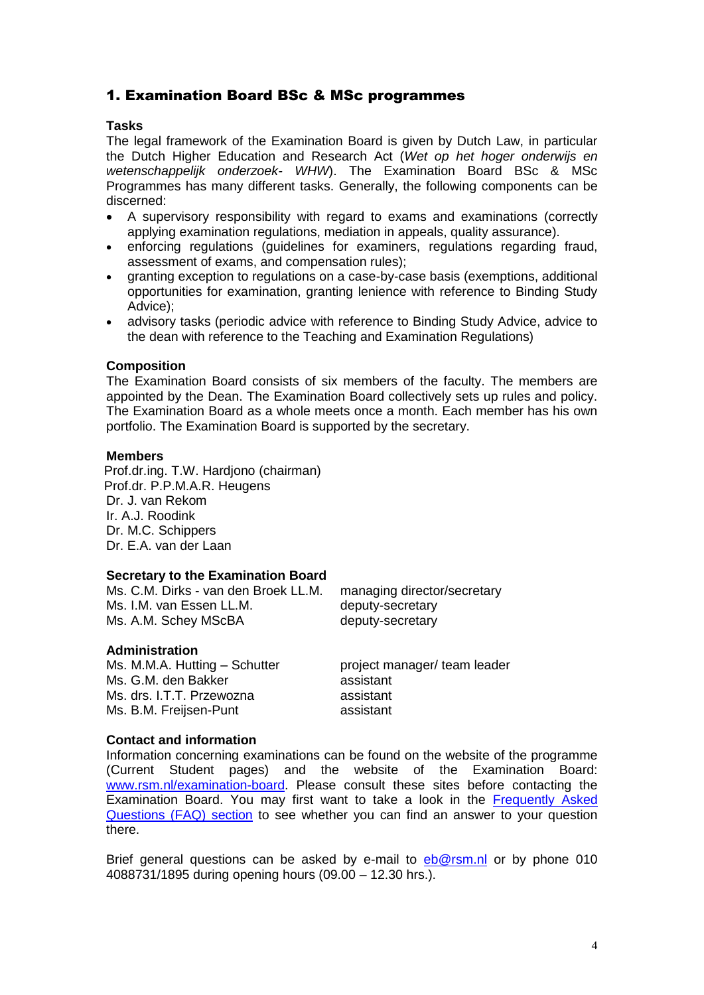## <span id="page-3-0"></span>1. Examination Board BSc & MSc programmes

#### <span id="page-3-1"></span>**Tasks**

The legal framework of the Examination Board is given by Dutch Law, in particular the Dutch Higher Education and Research Act (*Wet op het hoger onderwijs en wetenschappelijk onderzoek- WHW*). The Examination Board BSc & MSc Programmes has many different tasks. Generally, the following components can be discerned:

- A supervisory responsibility with regard to exams and examinations (correctly applying examination regulations, mediation in appeals, quality assurance).
- enforcing regulations (guidelines for examiners, regulations regarding fraud, assessment of exams, and compensation rules);
- granting exception to regulations on a case-by-case basis (exemptions, additional opportunities for examination, granting lenience with reference to Binding Study Advice);
- advisory tasks (periodic advice with reference to Binding Study Advice, advice to the dean with reference to the Teaching and Examination Regulations)

#### <span id="page-3-2"></span>**Composition**

The Examination Board consists of six members of the faculty. The members are appointed by the Dean. The Examination Board collectively sets up rules and policy. The Examination Board as a whole meets once a month. Each member has his own portfolio. The Examination Board is supported by the secretary.

#### <span id="page-3-3"></span>**Members**

Prof.dr.ing. T.W. Hardjono (chairman) Prof.dr. P.P.M.A.R. Heugens Dr. J. van Rekom Ir. A.J. Roodink Dr. M.C. Schippers Dr. E.A. van der Laan

## <span id="page-3-4"></span>**Secretary to the Examination Board**

Ms. C.M. Dirks - van den Broek LL.M. managing director/secretary Ms. I.M. van Essen LL.M. deputy-secretary Ms. A.M. Schey MScBA deputy-secretary

#### <span id="page-3-5"></span>**Administration**

Ms. M.M.A. Hutting – Schutter project manager/ team leader Ms. G.M. den Bakker assistant Ms. drs. I.T.T. Przewozna assistant Ms. B.M. Freijsen-Punt assistant

## <span id="page-3-6"></span>**Contact and information**

Information concerning examinations can be found on the website of the programme (Current Student pages) and the website of the Examination Board: [www.rsm.nl/examination-board.](http://www.rsm.nl/examination-board) Please consult these sites before contacting the Examination Board. You may first want to take a look in the [Frequently Asked](http://www.rsm.nl/examination-board/frequently-asked-questions-faqs/)  [Questions \(FAQ\) section](http://www.rsm.nl/examination-board/frequently-asked-questions-faqs/) to see whether you can find an answer to your question there.

Brief general questions can be asked by e-mail to [eb@rsm.nl](mailto:eb@rsm.nl) or by phone 010 4088731/1895 during opening hours (09.00 – 12.30 hrs.).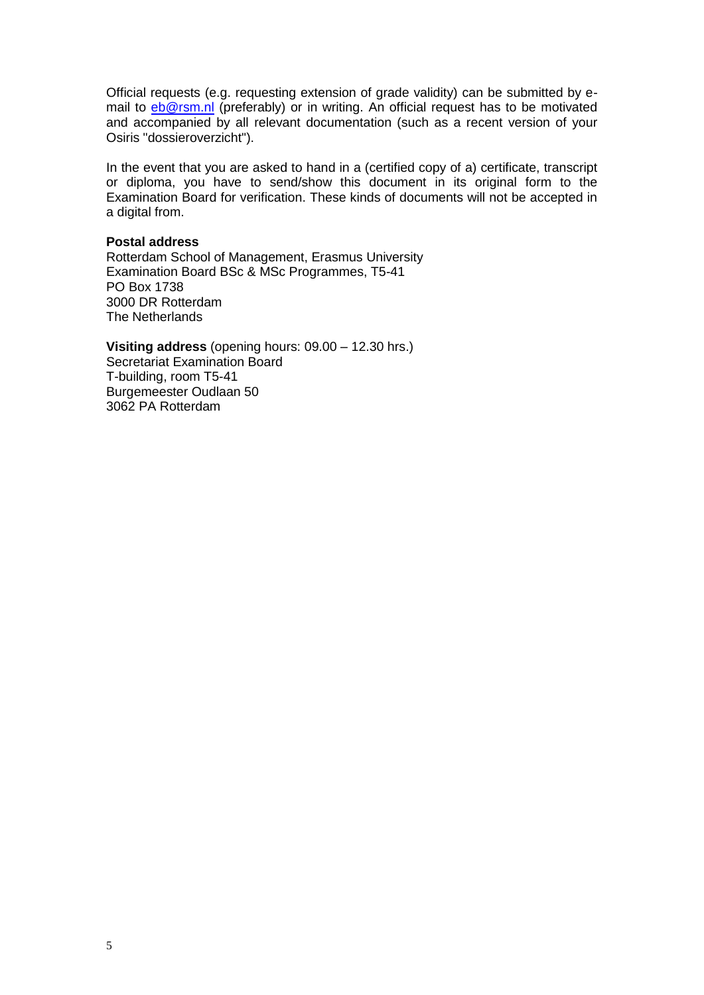Official requests (e.g. requesting extension of grade validity) can be submitted by email to [eb@rsm.nl](mailto:eb@rsm.nl) (preferably) or in writing. An official request has to be motivated and accompanied by all relevant documentation (such as a recent version of your Osiris "dossieroverzicht").

In the event that you are asked to hand in a (certified copy of a) certificate, transcript or diploma, you have to send/show this document in its original form to the Examination Board for verification. These kinds of documents will not be accepted in a digital from.

#### **Postal address**

Rotterdam School of Management, Erasmus University Examination Board BSc & MSc Programmes, T5-41 PO Box 1738 3000 DR Rotterdam The Netherlands

**Visiting address** (opening hours: 09.00 – 12.30 hrs.) Secretariat Examination Board T-building, room T5-41 Burgemeester Oudlaan 50 3062 PA Rotterdam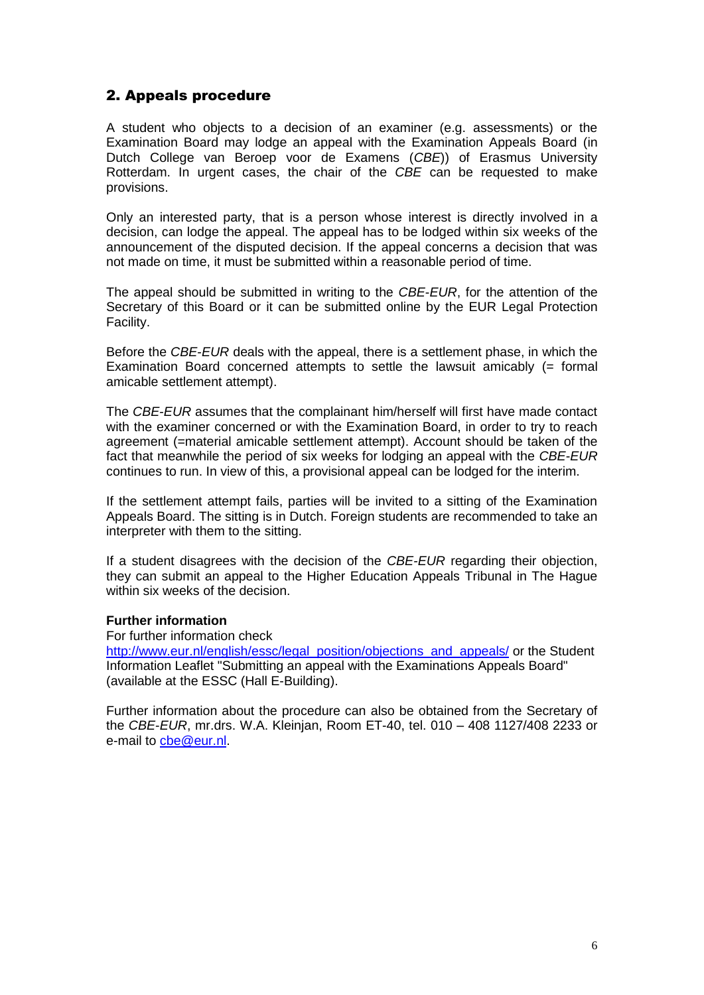## <span id="page-5-0"></span>2. Appeals procedure

A student who objects to a decision of an examiner (e.g. assessments) or the Examination Board may lodge an appeal with the Examination Appeals Board (in Dutch College van Beroep voor de Examens (*CBE*)) of Erasmus University Rotterdam. In urgent cases, the chair of the *CBE* can be requested to make provisions.

Only an interested party, that is a person whose interest is directly involved in a decision, can lodge the appeal. The appeal has to be lodged within six weeks of the announcement of the disputed decision. If the appeal concerns a decision that was not made on time, it must be submitted within a reasonable period of time.

The appeal should be submitted in writing to the *CBE*-*EUR*, for the attention of the Secretary of this Board or it can be submitted online by the EUR Legal Protection Facility.

Before the *CBE*-*EUR* deals with the appeal, there is a settlement phase, in which the Examination Board concerned attempts to settle the lawsuit amicably (= formal amicable settlement attempt).

The *CBE*-*EUR* assumes that the complainant him/herself will first have made contact with the examiner concerned or with the Examination Board, in order to try to reach agreement (=material amicable settlement attempt). Account should be taken of the fact that meanwhile the period of six weeks for lodging an appeal with the *CBE*-*EUR* continues to run. In view of this, a provisional appeal can be lodged for the interim.

If the settlement attempt fails, parties will be invited to a sitting of the Examination Appeals Board. The sitting is in Dutch. Foreign students are recommended to take an interpreter with them to the sitting.

If a student disagrees with the decision of the *CBE-EUR* regarding their objection, they can submit an appeal to the Higher Education Appeals Tribunal in The Hague within six weeks of the decision.

#### **Further information**

For further information check

[http://www.eur.nl/english/essc/legal\\_position/objections\\_and\\_appeals/](http://www.eur.nl/english/essc/legal_position/objections_and_appeals/) or the Student Information Leaflet "Submitting an appeal with the Examinations Appeals Board" (available at the ESSC (Hall E-Building).

Further information about the procedure can also be obtained from the Secretary of the *CBE*-*EUR*, mr.drs. W.A. Kleinjan, Room ET-40, tel. 010 – 408 1127/408 2233 or e-mail to [cbe@eur.nl.](mailto:cbe@eur.nl)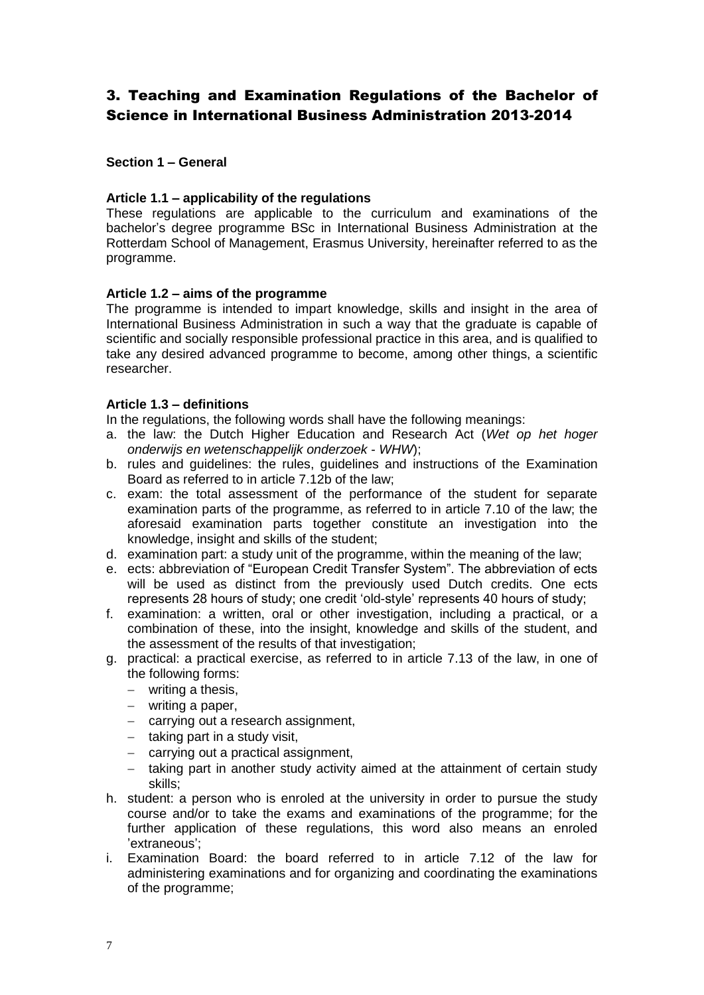## <span id="page-6-0"></span>3. Teaching and Examination Regulations of the Bachelor of Science in International Business Administration 2013-2014

### <span id="page-6-1"></span>**Section 1 – General**

### <span id="page-6-2"></span>**Article 1.1 – applicability of the regulations**

These regulations are applicable to the curriculum and examinations of the bachelor's degree programme BSc in International Business Administration at the Rotterdam School of Management, Erasmus University, hereinafter referred to as the programme.

#### <span id="page-6-3"></span>**Article 1.2 – aims of the programme**

The programme is intended to impart knowledge, skills and insight in the area of International Business Administration in such a way that the graduate is capable of scientific and socially responsible professional practice in this area, and is qualified to take any desired advanced programme to become, among other things, a scientific researcher.

#### <span id="page-6-4"></span>**Article 1.3 – definitions**

In the regulations, the following words shall have the following meanings:

- a. the law: the Dutch Higher Education and Research Act (*Wet op het hoger onderwijs en wetenschappelijk onderzoek* - *WHW*);
- b. rules and guidelines: the rules, guidelines and instructions of the Examination Board as referred to in article 7.12b of the law;
- c. exam: the total assessment of the performance of the student for separate examination parts of the programme, as referred to in article 7.10 of the law; the aforesaid examination parts together constitute an investigation into the knowledge, insight and skills of the student;
- d. examination part: a study unit of the programme, within the meaning of the law;
- e. ects: abbreviation of "European Credit Transfer System". The abbreviation of ects will be used as distinct from the previously used Dutch credits. One ects represents 28 hours of study; one credit 'old-style' represents 40 hours of study;
- f. examination: a written, oral or other investigation, including a practical, or a combination of these, into the insight, knowledge and skills of the student, and the assessment of the results of that investigation;
- g. practical: a practical exercise, as referred to in article 7.13 of the law, in one of the following forms:
	- writing a thesis,
	- writing a paper,
	- carrying out a research assignment,
	- $-$  taking part in a study visit,
	- carrying out a practical assignment,
	- taking part in another study activity aimed at the attainment of certain study skills;
- h. student: a person who is enroled at the university in order to pursue the study course and/or to take the exams and examinations of the programme; for the further application of these regulations, this word also means an enroled 'extraneous';
- i. Examination Board: the board referred to in article 7.12 of the law for administering examinations and for organizing and coordinating the examinations of the programme;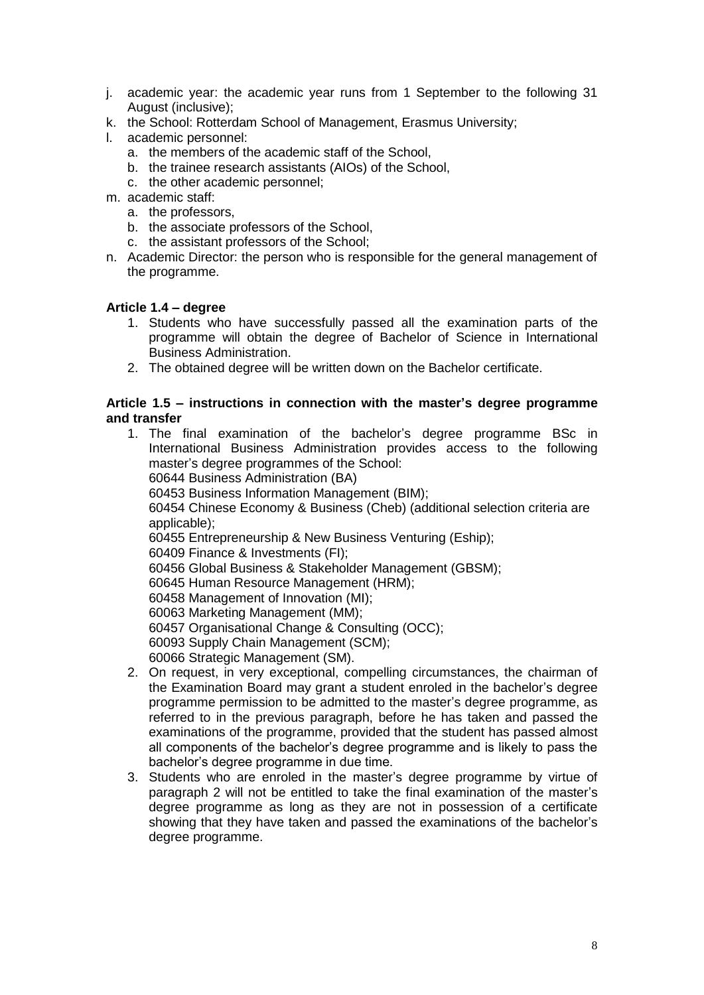- j. academic year: the academic year runs from 1 September to the following 31 August (inclusive);
- k. the School: Rotterdam School of Management, Erasmus University;
- l. academic personnel:
	- a. the members of the academic staff of the School,
	- b. the trainee research assistants (AIOs) of the School,
	- c. the other academic personnel;
- m. academic staff:
	- a. the professors,
	- b. the associate professors of the School,
	- c. the assistant professors of the School;
- n. Academic Director: the person who is responsible for the general management of the programme.

#### <span id="page-7-0"></span>**Article 1.4 – degree**

- 1. Students who have successfully passed all the examination parts of the programme will obtain the degree of Bachelor of Science in International Business Administration.
- 2. The obtained degree will be written down on the Bachelor certificate.

### <span id="page-7-1"></span>**Article 1.5 – instructions in connection with the master's degree programme and transfer**

- 1. The final examination of the bachelor's degree programme BSc in International Business Administration provides access to the following master's degree programmes of the School: 60644 Business Administration (BA) 60453 Business Information Management (BIM); 60454 Chinese Economy & Business (Cheb) (additional selection criteria are applicable); 60455 Entrepreneurship & New Business Venturing (Eship); 60409 Finance & Investments (FI); 60456 Global Business & Stakeholder Management (GBSM); 60645 Human Resource Management (HRM); 60458 Management of Innovation (MI); 60063 Marketing Management (MM); 60457 Organisational Change & Consulting (OCC); 60093 Supply Chain Management (SCM); 60066 Strategic Management (SM). 2. On request, in very exceptional, compelling circumstances, the chairman of the Examination Board may grant a student enroled in the bachelor's degree programme permission to be admitted to the master's degree programme, as
- referred to in the previous paragraph, before he has taken and passed the examinations of the programme, provided that the student has passed almost all components of the bachelor's degree programme and is likely to pass the bachelor's degree programme in due time.
- 3. Students who are enroled in the master's degree programme by virtue of paragraph 2 will not be entitled to take the final examination of the master's degree programme as long as they are not in possession of a certificate showing that they have taken and passed the examinations of the bachelor's degree programme.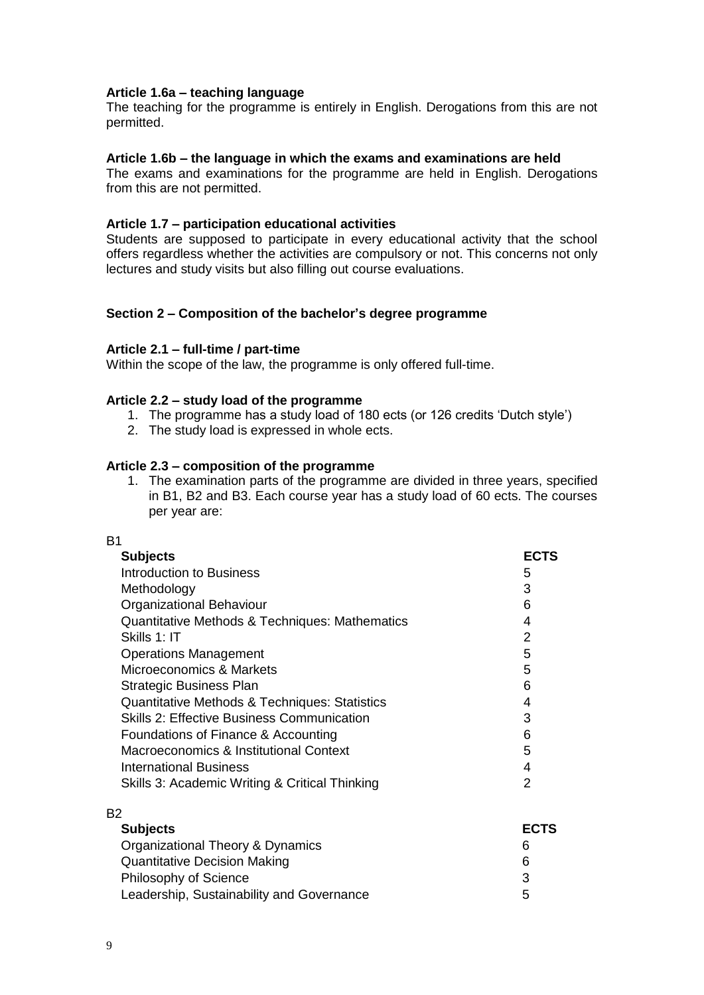#### <span id="page-8-0"></span>**Article 1.6a – teaching language**

The teaching for the programme is entirely in English. Derogations from this are not permitted.

#### <span id="page-8-1"></span>**Article 1.6b – the language in which the exams and examinations are held**

The exams and examinations for the programme are held in English. Derogations from this are not permitted.

#### <span id="page-8-2"></span>**Article 1.7 – participation educational activities**

Students are supposed to participate in every educational activity that the school offers regardless whether the activities are compulsory or not. This concerns not only lectures and study visits but also filling out course evaluations.

#### <span id="page-8-3"></span>**Section 2 – Composition of the bachelor's degree programme**

#### <span id="page-8-4"></span>**Article 2.1 – full-time / part-time**

Within the scope of the law, the programme is only offered full-time.

#### <span id="page-8-5"></span>**Article 2.2 – study load of the programme**

- 1. The programme has a study load of 180 ects (or 126 credits 'Dutch style')
- 2. The study load is expressed in whole ects.

#### <span id="page-8-6"></span>**Article 2.3 – composition of the programme**

1. The examination parts of the programme are divided in three years, specified in B1, B2 and B3. Each course year has a study load of 60 ects. The courses per year are:

| B <sub>1</sub>                                    |             |
|---------------------------------------------------|-------------|
| <b>Subjects</b>                                   | <b>ECTS</b> |
| <b>Introduction to Business</b>                   | 5           |
| Methodology                                       | 3           |
| Organizational Behaviour                          | 6           |
| Quantitative Methods & Techniques: Mathematics    | 4           |
| Skills 1: IT                                      | 2           |
| <b>Operations Management</b>                      | 5           |
| Microeconomics & Markets                          | 5           |
| Strategic Business Plan                           | 6           |
| Quantitative Methods & Techniques: Statistics     | 4           |
| <b>Skills 2: Effective Business Communication</b> | 3           |
| Foundations of Finance & Accounting               | 6           |
| Macroeconomics & Institutional Context            | 5           |
| <b>International Business</b>                     | 4           |
| Skills 3: Academic Writing & Critical Thinking    | 2           |
| B <sub>2</sub>                                    |             |
| <b>Subjects</b>                                   | <b>ECTS</b> |
| Organizational Theory & Dynamics                  | 6           |
| <b>Quantitative Decision Making</b>               | 6           |
| Philosophy of Science                             | 3           |
| Leadership, Sustainability and Governance         | 5           |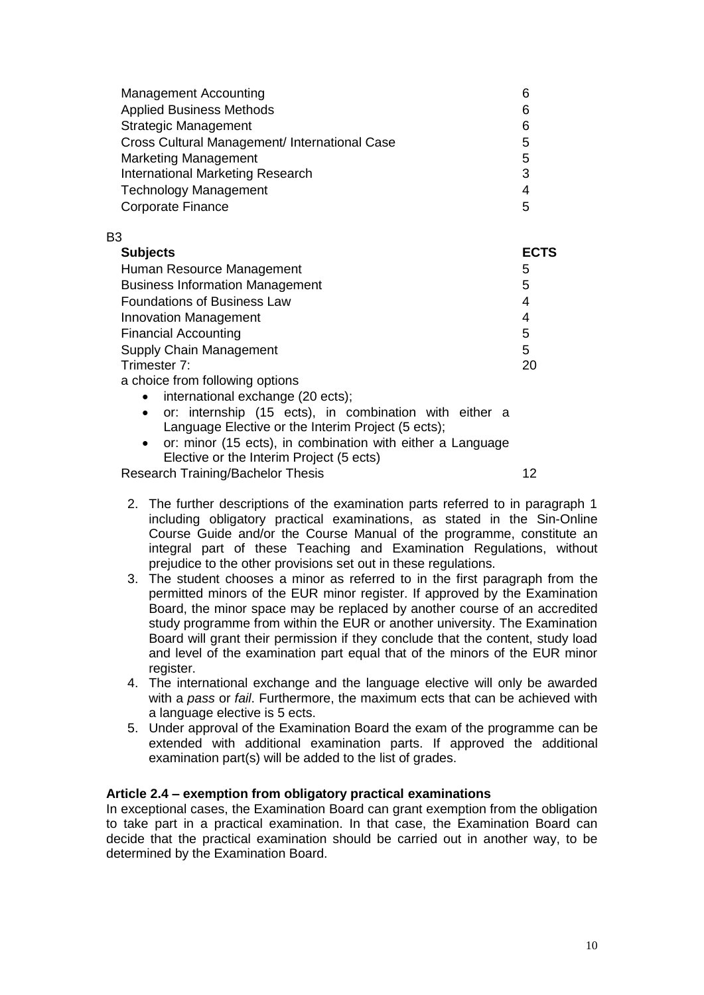| <b>Management Accounting</b>                  | 6 |
|-----------------------------------------------|---|
| <b>Applied Business Methods</b>               | 6 |
| <b>Strategic Management</b>                   | 6 |
| Cross Cultural Management/ International Case | 5 |
| <b>Marketing Management</b>                   | 5 |
| <b>International Marketing Research</b>       | 3 |
| <b>Technology Management</b>                  | 4 |
| <b>Corporate Finance</b>                      | 5 |

#### B3

| <b>Subjects</b>                        | <b>ECTS</b> |
|----------------------------------------|-------------|
| Human Resource Management              | 5           |
| <b>Business Information Management</b> | 5           |
| <b>Foundations of Business Law</b>     | 4           |
| <b>Innovation Management</b>           | 4           |
| <b>Financial Accounting</b>            | 5           |
| Supply Chain Management                | 5           |
| Trimester 7:                           | 20          |
| a choice from following options        |             |

- international exchange (20 ects);
- or: internship (15 ects), in combination with either a Language Elective or the Interim Project (5 ects);
- or: minor (15 ects), in combination with either a Language Elective or the Interim Project (5 ects)

Research Training/Bachelor Thesis 12

- 2. The further descriptions of the examination parts referred to in paragraph 1 including obligatory practical examinations, as stated in the Sin-Online Course Guide and/or the Course Manual of the programme, constitute an integral part of these Teaching and Examination Regulations, without prejudice to the other provisions set out in these regulations.
- 3. The student chooses a minor as referred to in the first paragraph from the permitted minors of the EUR minor register. If approved by the Examination Board, the minor space may be replaced by another course of an accredited study programme from within the EUR or another university. The Examination Board will grant their permission if they conclude that the content, study load and level of the examination part equal that of the minors of the EUR minor register.
- 4. The international exchange and the language elective will only be awarded with a *pass* or *fail*. Furthermore, the maximum ects that can be achieved with a language elective is 5 ects.
- 5. Under approval of the Examination Board the exam of the programme can be extended with additional examination parts. If approved the additional examination part(s) will be added to the list of grades.

## <span id="page-9-0"></span>**Article 2.4 – exemption from obligatory practical examinations**

In exceptional cases, the Examination Board can grant exemption from the obligation to take part in a practical examination. In that case, the Examination Board can decide that the practical examination should be carried out in another way, to be determined by the Examination Board.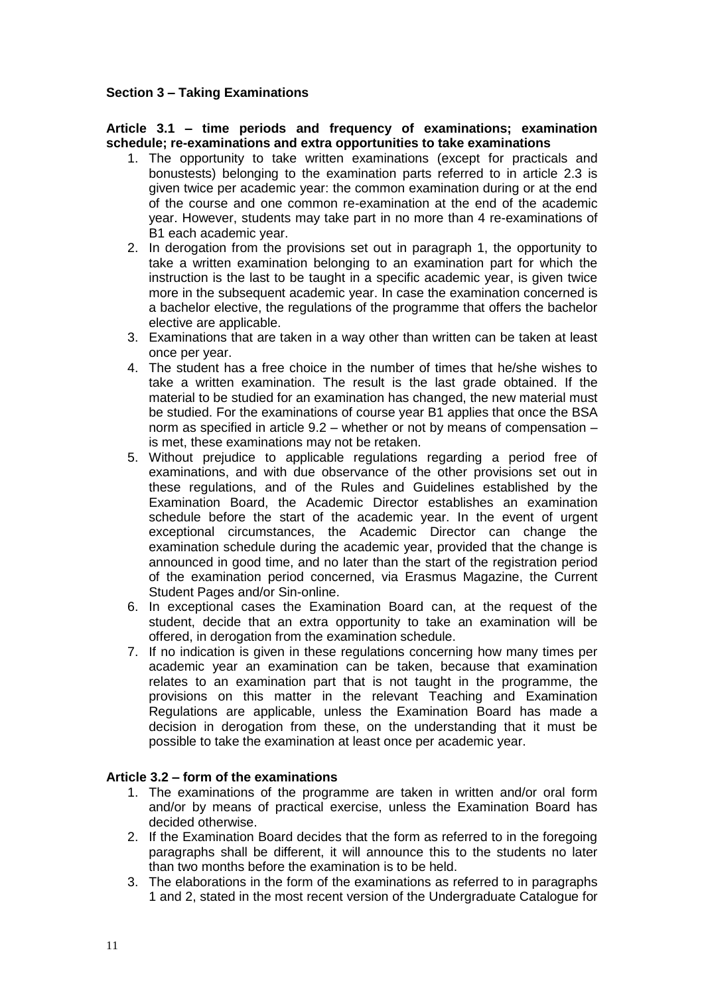## <span id="page-10-0"></span>**Section 3 – Taking Examinations**

#### <span id="page-10-1"></span>**Article 3.1 – time periods and frequency of examinations; examination schedule; re-examinations and extra opportunities to take examinations**

- 1. The opportunity to take written examinations (except for practicals and bonustests) belonging to the examination parts referred to in article 2.3 is given twice per academic year: the common examination during or at the end of the course and one common re-examination at the end of the academic year. However, students may take part in no more than 4 re-examinations of B1 each academic year.
- 2. In derogation from the provisions set out in paragraph 1, the opportunity to take a written examination belonging to an examination part for which the instruction is the last to be taught in a specific academic year, is given twice more in the subsequent academic year. In case the examination concerned is a bachelor elective, the regulations of the programme that offers the bachelor elective are applicable.
- 3. Examinations that are taken in a way other than written can be taken at least once per year.
- 4. The student has a free choice in the number of times that he/she wishes to take a written examination. The result is the last grade obtained. If the material to be studied for an examination has changed, the new material must be studied. For the examinations of course year B1 applies that once the BSA norm as specified in article 9.2 – whether or not by means of compensation – is met, these examinations may not be retaken.
- 5. Without prejudice to applicable regulations regarding a period free of examinations, and with due observance of the other provisions set out in these regulations, and of the Rules and Guidelines established by the Examination Board, the Academic Director establishes an examination schedule before the start of the academic year. In the event of urgent exceptional circumstances, the Academic Director can change the examination schedule during the academic year, provided that the change is announced in good time, and no later than the start of the registration period of the examination period concerned, via Erasmus Magazine, the Current Student Pages and/or Sin-online.
- 6. In exceptional cases the Examination Board can, at the request of the student, decide that an extra opportunity to take an examination will be offered, in derogation from the examination schedule.
- 7. If no indication is given in these regulations concerning how many times per academic year an examination can be taken, because that examination relates to an examination part that is not taught in the programme, the provisions on this matter in the relevant Teaching and Examination Regulations are applicable, unless the Examination Board has made a decision in derogation from these, on the understanding that it must be possible to take the examination at least once per academic year.

## <span id="page-10-2"></span>**Article 3.2 – form of the examinations**

- 1. The examinations of the programme are taken in written and/or oral form and/or by means of practical exercise, unless the Examination Board has decided otherwise.
- 2. If the Examination Board decides that the form as referred to in the foregoing paragraphs shall be different, it will announce this to the students no later than two months before the examination is to be held.
- 3. The elaborations in the form of the examinations as referred to in paragraphs 1 and 2, stated in the most recent version of the Undergraduate Catalogue for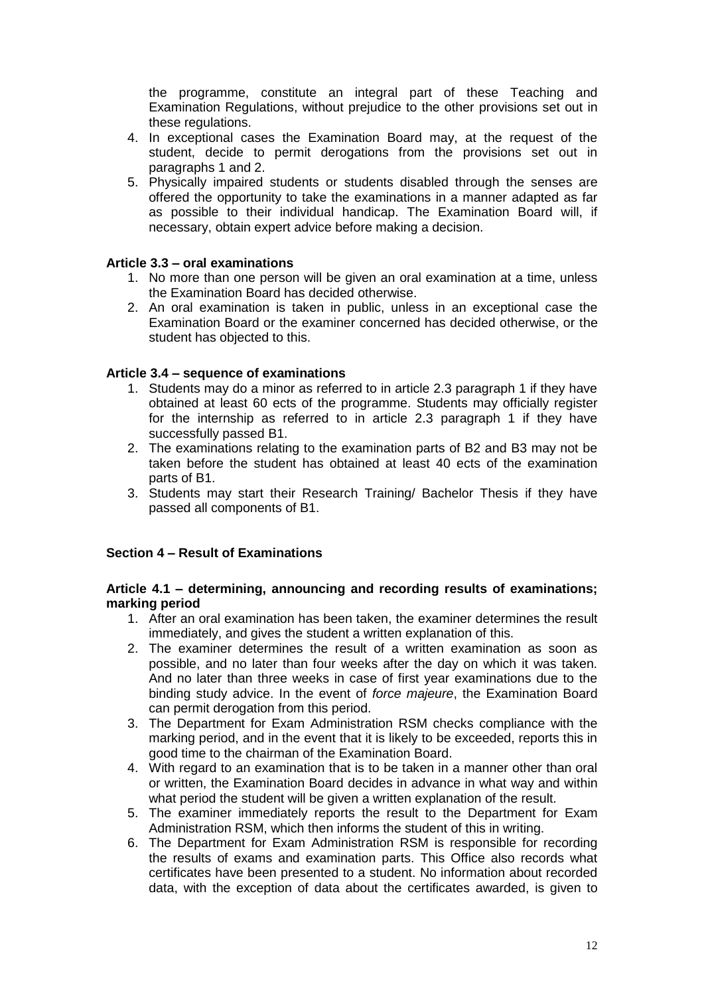the programme, constitute an integral part of these Teaching and Examination Regulations, without prejudice to the other provisions set out in these regulations.

- 4. In exceptional cases the Examination Board may, at the request of the student, decide to permit derogations from the provisions set out in paragraphs 1 and 2.
- 5. Physically impaired students or students disabled through the senses are offered the opportunity to take the examinations in a manner adapted as far as possible to their individual handicap. The Examination Board will, if necessary, obtain expert advice before making a decision.

#### <span id="page-11-0"></span>**Article 3.3 – oral examinations**

- 1. No more than one person will be given an oral examination at a time, unless the Examination Board has decided otherwise.
- 2. An oral examination is taken in public, unless in an exceptional case the Examination Board or the examiner concerned has decided otherwise, or the student has objected to this.

#### <span id="page-11-1"></span>**Article 3.4 – sequence of examinations**

- 1. Students may do a minor as referred to in article 2.3 paragraph 1 if they have obtained at least 60 ects of the programme. Students may officially register for the internship as referred to in article 2.3 paragraph 1 if they have successfully passed B1.
- 2. The examinations relating to the examination parts of B2 and B3 may not be taken before the student has obtained at least 40 ects of the examination parts of B1.
- 3. Students may start their Research Training/ Bachelor Thesis if they have passed all components of B1.

#### <span id="page-11-2"></span>**Section 4 – Result of Examinations**

#### <span id="page-11-3"></span>**Article 4.1 – determining, announcing and recording results of examinations; marking period**

- 1. After an oral examination has been taken, the examiner determines the result immediately, and gives the student a written explanation of this.
- 2. The examiner determines the result of a written examination as soon as possible, and no later than four weeks after the day on which it was taken. And no later than three weeks in case of first year examinations due to the binding study advice. In the event of *force majeure*, the Examination Board can permit derogation from this period.
- 3. The Department for Exam Administration RSM checks compliance with the marking period, and in the event that it is likely to be exceeded, reports this in good time to the chairman of the Examination Board.
- 4. With regard to an examination that is to be taken in a manner other than oral or written, the Examination Board decides in advance in what way and within what period the student will be given a written explanation of the result.
- 5. The examiner immediately reports the result to the Department for Exam Administration RSM, which then informs the student of this in writing.
- 6. The Department for Exam Administration RSM is responsible for recording the results of exams and examination parts. This Office also records what certificates have been presented to a student. No information about recorded data, with the exception of data about the certificates awarded, is given to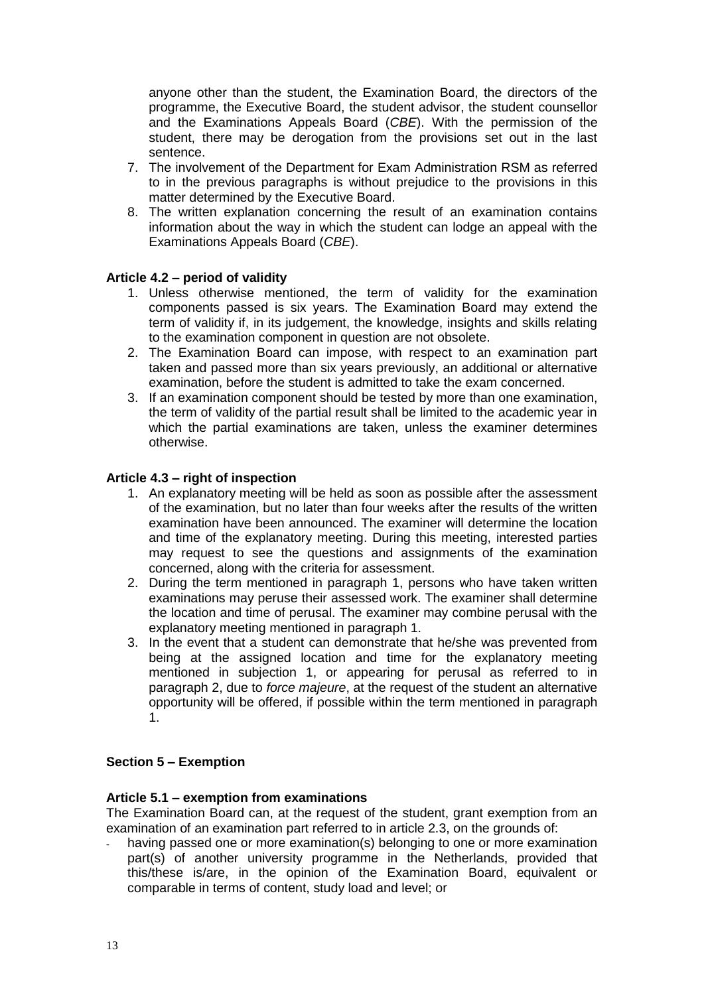anyone other than the student, the Examination Board, the directors of the programme, the Executive Board, the student advisor, the student counsellor and the Examinations Appeals Board (*CBE*). With the permission of the student, there may be derogation from the provisions set out in the last sentence.

- 7. The involvement of the Department for Exam Administration RSM as referred to in the previous paragraphs is without prejudice to the provisions in this matter determined by the Executive Board.
- 8. The written explanation concerning the result of an examination contains information about the way in which the student can lodge an appeal with the Examinations Appeals Board (*CBE*).

## <span id="page-12-0"></span>**Article 4.2 – period of validity**

- 1. Unless otherwise mentioned, the term of validity for the examination components passed is six years. The Examination Board may extend the term of validity if, in its judgement, the knowledge, insights and skills relating to the examination component in question are not obsolete.
- 2. The Examination Board can impose, with respect to an examination part taken and passed more than six years previously, an additional or alternative examination, before the student is admitted to take the exam concerned.
- 3. If an examination component should be tested by more than one examination, the term of validity of the partial result shall be limited to the academic year in which the partial examinations are taken, unless the examiner determines otherwise.

## <span id="page-12-1"></span>**Article 4.3 – right of inspection**

- 1. An explanatory meeting will be held as soon as possible after the assessment of the examination, but no later than four weeks after the results of the written examination have been announced. The examiner will determine the location and time of the explanatory meeting. During this meeting, interested parties may request to see the questions and assignments of the examination concerned, along with the criteria for assessment.
- 2. During the term mentioned in paragraph 1, persons who have taken written examinations may peruse their assessed work. The examiner shall determine the location and time of perusal. The examiner may combine perusal with the explanatory meeting mentioned in paragraph 1.
- 3. In the event that a student can demonstrate that he/she was prevented from being at the assigned location and time for the explanatory meeting mentioned in subjection 1, or appearing for perusal as referred to in paragraph 2, due to *force majeure*, at the request of the student an alternative opportunity will be offered, if possible within the term mentioned in paragraph 1.

## <span id="page-12-2"></span>**Section 5 – Exemption**

## <span id="page-12-3"></span>**Article 5.1 – exemption from examinations**

The Examination Board can, at the request of the student, grant exemption from an examination of an examination part referred to in article 2.3, on the grounds of:

having passed one or more examination(s) belonging to one or more examination part(s) of another university programme in the Netherlands, provided that this/these is/are, in the opinion of the Examination Board, equivalent or comparable in terms of content, study load and level; or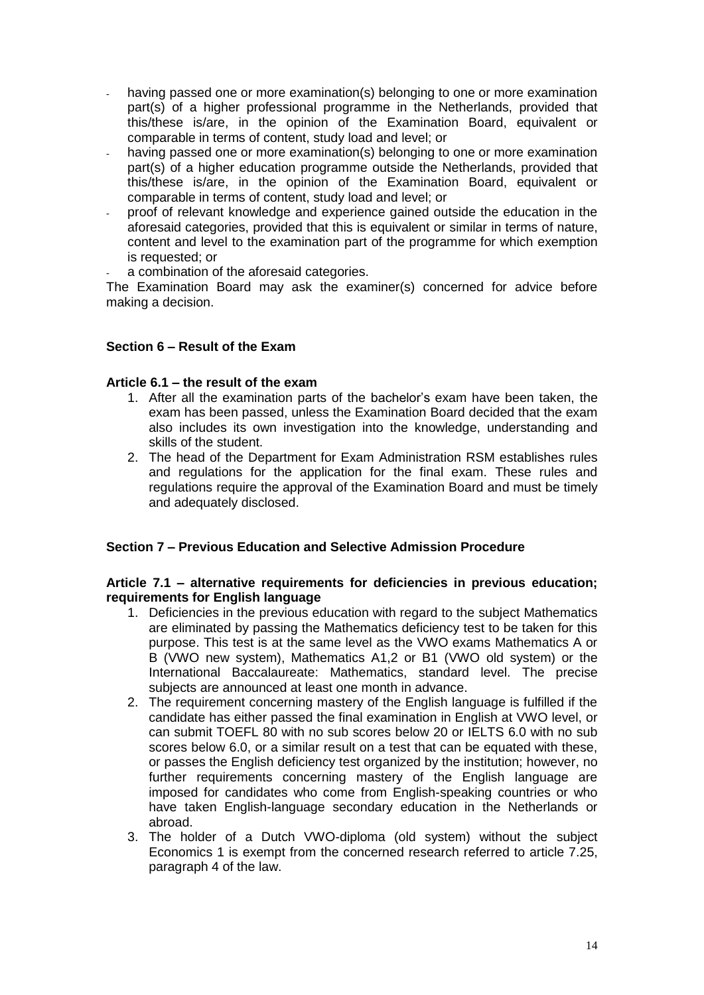- having passed one or more examination(s) belonging to one or more examination part(s) of a higher professional programme in the Netherlands, provided that this/these is/are, in the opinion of the Examination Board, equivalent or comparable in terms of content, study load and level; or
- having passed one or more examination(s) belonging to one or more examination part(s) of a higher education programme outside the Netherlands, provided that this/these is/are, in the opinion of the Examination Board, equivalent or comparable in terms of content, study load and level; or
- proof of relevant knowledge and experience gained outside the education in the aforesaid categories, provided that this is equivalent or similar in terms of nature, content and level to the examination part of the programme for which exemption is requested; or
- a combination of the aforesaid categories.

The Examination Board may ask the examiner(s) concerned for advice before making a decision.

## <span id="page-13-0"></span>**Section 6 – Result of the Exam**

#### <span id="page-13-1"></span>**Article 6.1 – the result of the exam**

- 1. After all the examination parts of the bachelor's exam have been taken, the exam has been passed, unless the Examination Board decided that the exam also includes its own investigation into the knowledge, understanding and skills of the student.
- 2. The head of the Department for Exam Administration RSM establishes rules and regulations for the application for the final exam. These rules and regulations require the approval of the Examination Board and must be timely and adequately disclosed.

## <span id="page-13-2"></span>**Section 7 – Previous Education and Selective Admission Procedure**

#### <span id="page-13-3"></span>**Article 7.1 – alternative requirements for deficiencies in previous education; requirements for English language**

- 1. Deficiencies in the previous education with regard to the subject Mathematics are eliminated by passing the Mathematics deficiency test to be taken for this purpose. This test is at the same level as the VWO exams Mathematics A or B (VWO new system), Mathematics A1,2 or B1 (VWO old system) or the International Baccalaureate: Mathematics, standard level. The precise subjects are announced at least one month in advance.
- 2. The requirement concerning mastery of the English language is fulfilled if the candidate has either passed the final examination in English at VWO level, or can submit TOEFL 80 with no sub scores below 20 or IELTS 6.0 with no sub scores below 6.0, or a similar result on a test that can be equated with these, or passes the English deficiency test organized by the institution; however, no further requirements concerning mastery of the English language are imposed for candidates who come from English-speaking countries or who have taken English-language secondary education in the Netherlands or abroad.
- 3. The holder of a Dutch VWO-diploma (old system) without the subject Economics 1 is exempt from the concerned research referred to article 7.25, paragraph 4 of the law.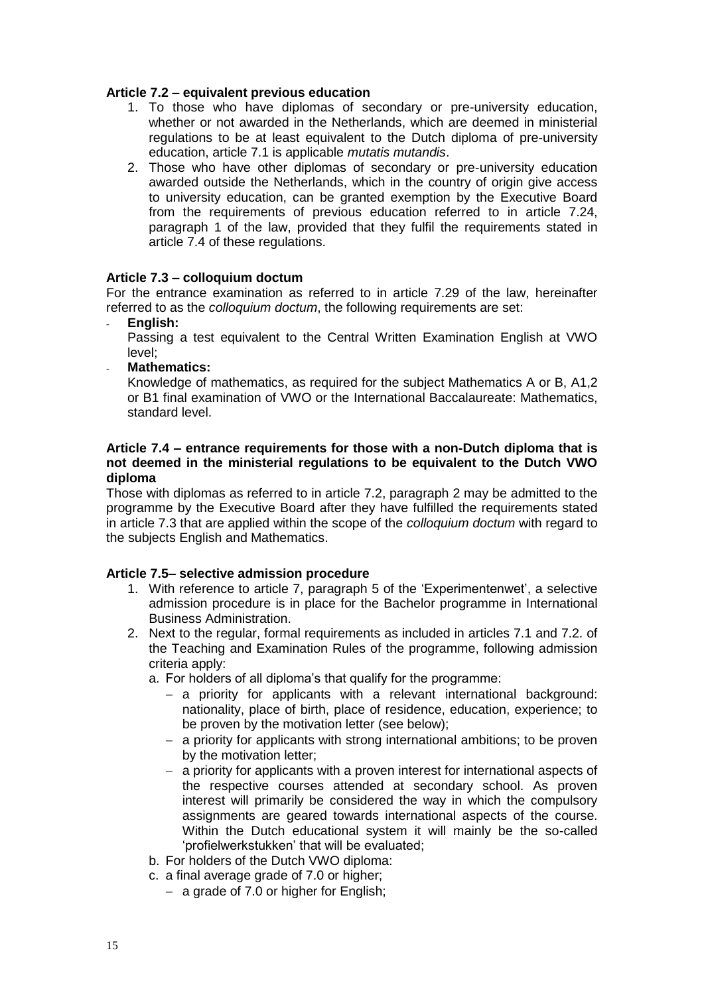### <span id="page-14-0"></span>**Article 7.2 – equivalent previous education**

- 1. To those who have diplomas of secondary or pre-university education, whether or not awarded in the Netherlands, which are deemed in ministerial regulations to be at least equivalent to the Dutch diploma of pre-university education, article 7.1 is applicable *mutatis mutandis*.
- 2. Those who have other diplomas of secondary or pre-university education awarded outside the Netherlands, which in the country of origin give access to university education, can be granted exemption by the Executive Board from the requirements of previous education referred to in article 7.24, paragraph 1 of the law, provided that they fulfil the requirements stated in article 7.4 of these regulations.

## <span id="page-14-1"></span>**Article 7.3 – colloquium doctum**

For the entrance examination as referred to in article 7.29 of the law, hereinafter referred to as the *colloquium doctum*, the following requirements are set:

- **English:**
	- Passing a test equivalent to the Central Written Examination English at VWO level;
- **Mathematics:**

Knowledge of mathematics, as required for the subject Mathematics A or B, A1,2 or B1 final examination of VWO or the International Baccalaureate: Mathematics, standard level.

#### <span id="page-14-2"></span>**Article 7.4 – entrance requirements for those with a non-Dutch diploma that is not deemed in the ministerial regulations to be equivalent to the Dutch VWO diploma**

Those with diplomas as referred to in article 7.2, paragraph 2 may be admitted to the programme by the Executive Board after they have fulfilled the requirements stated in article 7.3 that are applied within the scope of the *colloquium doctum* with regard to the subjects English and Mathematics.

## <span id="page-14-3"></span>**Article 7.5– selective admission procedure**

- 1. With reference to article 7, paragraph 5 of the 'Experimentenwet', a selective admission procedure is in place for the Bachelor programme in International Business Administration.
- 2. Next to the regular, formal requirements as included in articles 7.1 and 7.2. of the Teaching and Examination Rules of the programme, following admission criteria apply:

a. For holders of all diploma's that qualify for the programme:

- a priority for applicants with a relevant international background: nationality, place of birth, place of residence, education, experience; to be proven by the motivation letter (see below);
- a priority for applicants with strong international ambitions; to be proven by the motivation letter;
- a priority for applicants with a proven interest for international aspects of the respective courses attended at secondary school. As proven interest will primarily be considered the way in which the compulsory assignments are geared towards international aspects of the course. Within the Dutch educational system it will mainly be the so-called 'profielwerkstukken' that will be evaluated;
- b. For holders of the Dutch VWO diploma:
- c. a final average grade of 7.0 or higher;
	- $-$  a grade of 7.0 or higher for English;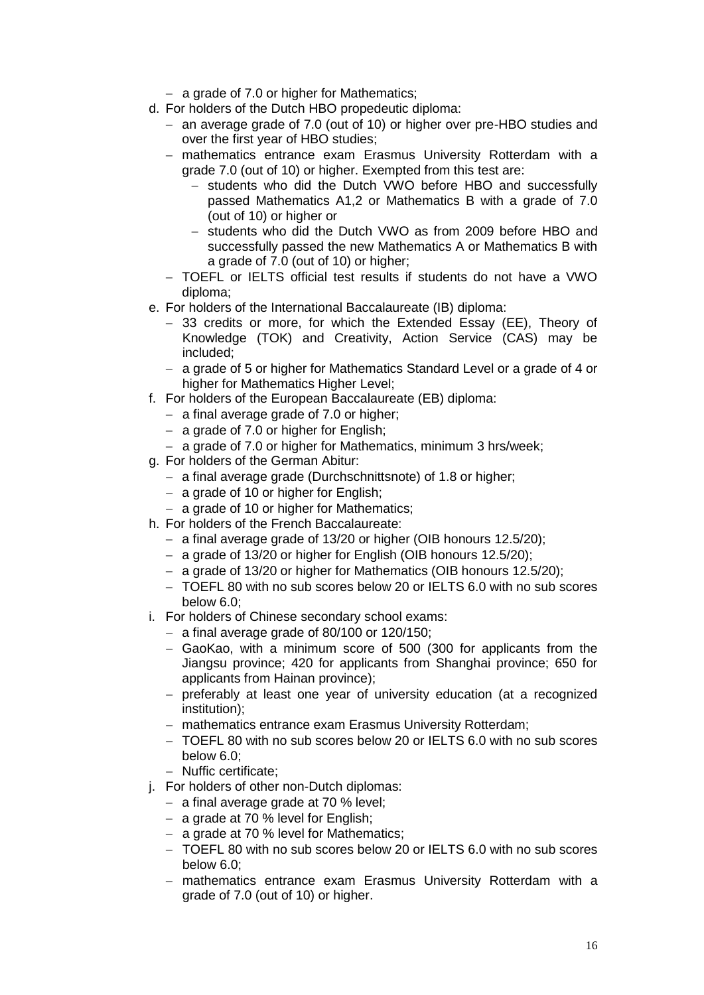- a grade of 7.0 or higher for Mathematics;
- d. For holders of the Dutch HBO propedeutic diploma:
	- an average grade of 7.0 (out of 10) or higher over pre-HBO studies and over the first year of HBO studies;
	- mathematics entrance exam Erasmus University Rotterdam with a grade 7.0 (out of 10) or higher. Exempted from this test are:
		- students who did the Dutch VWO before HBO and successfully passed Mathematics A1,2 or Mathematics B with a grade of 7.0 (out of 10) or higher or
		- students who did the Dutch VWO as from 2009 before HBO and successfully passed the new Mathematics A or Mathematics B with a grade of 7.0 (out of 10) or higher;
	- TOEFL or IELTS official test results if students do not have a VWO diploma;
- e. For holders of the International Baccalaureate (IB) diploma:
	- 33 credits or more, for which the Extended Essay (EE), Theory of Knowledge (TOK) and Creativity, Action Service (CAS) may be included;
	- a grade of 5 or higher for Mathematics Standard Level or a grade of 4 or higher for Mathematics Higher Level;
- f. For holders of the European Baccalaureate (EB) diploma:
	- $-$  a final average grade of 7.0 or higher;
	- $-$  a grade of 7.0 or higher for English;
	- a grade of 7.0 or higher for Mathematics, minimum 3 hrs/week;
- g. For holders of the German Abitur:
	- a final average grade (Durchschnittsnote) of 1.8 or higher;
	- $-$  a grade of 10 or higher for English:
	- a grade of 10 or higher for Mathematics;
- h. For holders of the French Baccalaureate:
	- a final average grade of  $13/20$  or higher (OIB honours  $12.5/20$ );
	- a grade of 13/20 or higher for English (OIB honours 12.5/20);
	- a grade of 13/20 or higher for Mathematics (OIB honours 12.5/20);
	- TOEFL 80 with no sub scores below 20 or IELTS 6.0 with no sub scores below 6.0;
- i. For holders of Chinese secondary school exams:
	- $-$  a final average grade of 80/100 or 120/150;
	- GaoKao, with a minimum score of 500 (300 for applicants from the Jiangsu province; 420 for applicants from Shanghai province; 650 for applicants from Hainan province);
	- preferably at least one year of university education (at a recognized institution);
	- mathematics entrance exam Erasmus University Rotterdam;
	- TOEFL 80 with no sub scores below 20 or IELTS 6.0 with no sub scores below 6.0;
	- Nuffic certificate:
- j. For holders of other non-Dutch diplomas:
	- $-$  a final average grade at 70 % level;
	- $-$  a grade at 70 % level for English;
	- a grade at 70 % level for Mathematics;
	- TOEFL 80 with no sub scores below 20 or IELTS 6.0 with no sub scores below 6.0;
	- mathematics entrance exam Erasmus University Rotterdam with a grade of 7.0 (out of 10) or higher.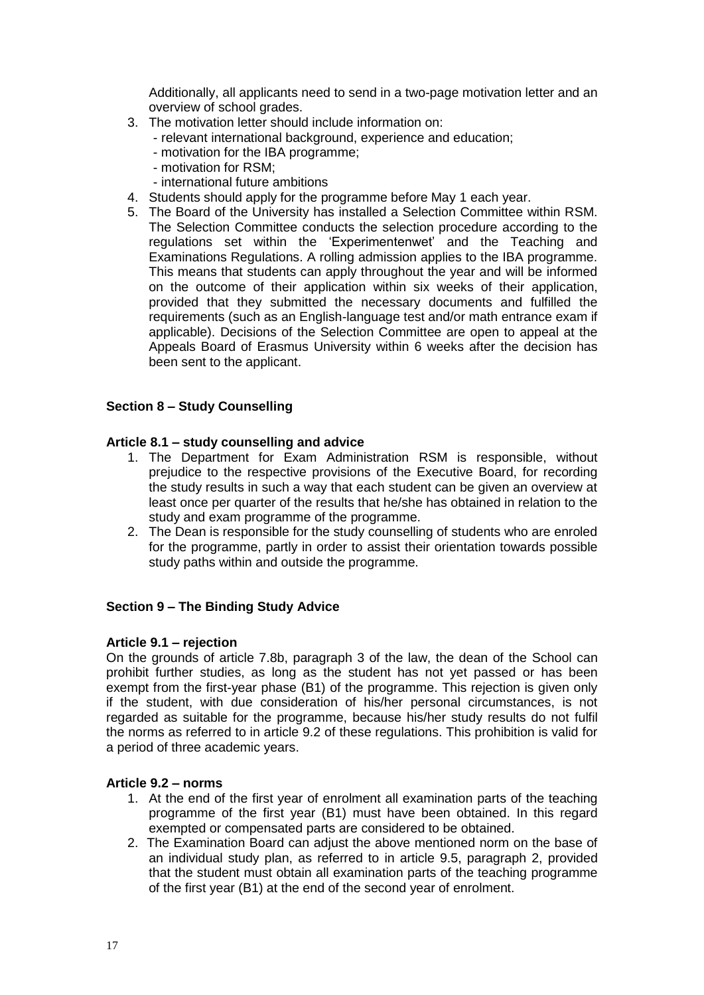Additionally, all applicants need to send in a two-page motivation letter and an overview of school grades.

- 3. The motivation letter should include information on:
	- relevant international background, experience and education;
	- motivation for the IBA programme;
	- motivation for RSM;
	- international future ambitions
- 4. Students should apply for the programme before May 1 each year.
- 5. The Board of the University has installed a Selection Committee within RSM. The Selection Committee conducts the selection procedure according to the regulations set within the 'Experimentenwet' and the Teaching and Examinations Regulations. A rolling admission applies to the IBA programme. This means that students can apply throughout the year and will be informed on the outcome of their application within six weeks of their application, provided that they submitted the necessary documents and fulfilled the requirements (such as an English-language test and/or math entrance exam if applicable). Decisions of the Selection Committee are open to appeal at the Appeals Board of Erasmus University within 6 weeks after the decision has been sent to the applicant.

## <span id="page-16-0"></span>**Section 8 – Study Counselling**

## <span id="page-16-1"></span>**Article 8.1 – study counselling and advice**

- 1. The Department for Exam Administration RSM is responsible, without prejudice to the respective provisions of the Executive Board, for recording the study results in such a way that each student can be given an overview at least once per quarter of the results that he/she has obtained in relation to the study and exam programme of the programme.
- 2. The Dean is responsible for the study counselling of students who are enroled for the programme, partly in order to assist their orientation towards possible study paths within and outside the programme.

## <span id="page-16-2"></span>**Section 9 – The Binding Study Advice**

## <span id="page-16-3"></span>**Article 9.1 – rejection**

On the grounds of article 7.8b, paragraph 3 of the law, the dean of the School can prohibit further studies, as long as the student has not yet passed or has been exempt from the first-year phase (B1) of the programme. This rejection is given only if the student, with due consideration of his/her personal circumstances, is not regarded as suitable for the programme, because his/her study results do not fulfil the norms as referred to in article 9.2 of these regulations. This prohibition is valid for a period of three academic years.

## <span id="page-16-4"></span>**Article 9.2 – norms**

- 1. At the end of the first year of enrolment all examination parts of the teaching programme of the first year (B1) must have been obtained. In this regard exempted or compensated parts are considered to be obtained.
- 2. The Examination Board can adjust the above mentioned norm on the base of an individual study plan, as referred to in article 9.5, paragraph 2, provided that the student must obtain all examination parts of the teaching programme of the first year (B1) at the end of the second year of enrolment.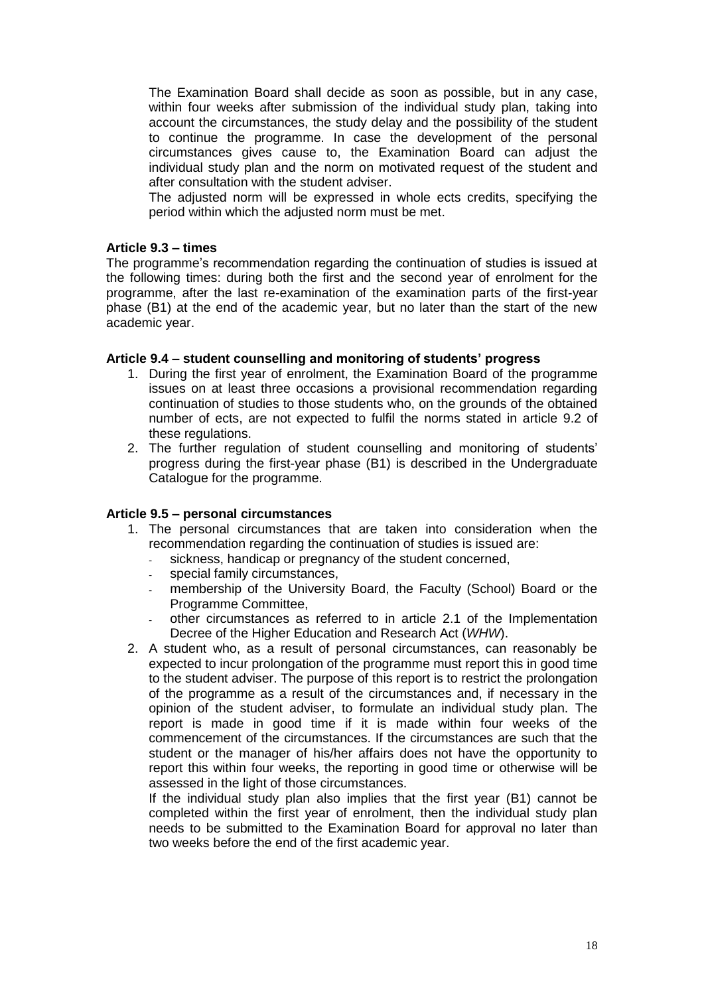The Examination Board shall decide as soon as possible, but in any case, within four weeks after submission of the individual study plan, taking into account the circumstances, the study delay and the possibility of the student to continue the programme. In case the development of the personal circumstances gives cause to, the Examination Board can adjust the individual study plan and the norm on motivated request of the student and after consultation with the student adviser.

The adjusted norm will be expressed in whole ects credits, specifying the period within which the adjusted norm must be met.

#### <span id="page-17-0"></span>**Article 9.3 – times**

The programme's recommendation regarding the continuation of studies is issued at the following times: during both the first and the second year of enrolment for the programme, after the last re-examination of the examination parts of the first-year phase (B1) at the end of the academic year, but no later than the start of the new academic year.

#### <span id="page-17-1"></span>**Article 9.4 – student counselling and monitoring of students' progress**

- 1. During the first year of enrolment, the Examination Board of the programme issues on at least three occasions a provisional recommendation regarding continuation of studies to those students who, on the grounds of the obtained number of ects, are not expected to fulfil the norms stated in article 9.2 of these regulations.
- 2. The further regulation of student counselling and monitoring of students' progress during the first-year phase (B1) is described in the Undergraduate Catalogue for the programme.

#### <span id="page-17-2"></span>**Article 9.5 – personal circumstances**

- 1. The personal circumstances that are taken into consideration when the recommendation regarding the continuation of studies is issued are:
	- sickness, handicap or pregnancy of the student concerned,
	- special family circumstances,
	- membership of the University Board, the Faculty (School) Board or the Programme Committee,
	- other circumstances as referred to in article 2.1 of the Implementation Decree of the Higher Education and Research Act (*WHW*).
- 2. A student who, as a result of personal circumstances, can reasonably be expected to incur prolongation of the programme must report this in good time to the student adviser. The purpose of this report is to restrict the prolongation of the programme as a result of the circumstances and, if necessary in the opinion of the student adviser, to formulate an individual study plan. The report is made in good time if it is made within four weeks of the commencement of the circumstances. If the circumstances are such that the student or the manager of his/her affairs does not have the opportunity to report this within four weeks, the reporting in good time or otherwise will be assessed in the light of those circumstances.

If the individual study plan also implies that the first year (B1) cannot be completed within the first year of enrolment, then the individual study plan needs to be submitted to the Examination Board for approval no later than two weeks before the end of the first academic year.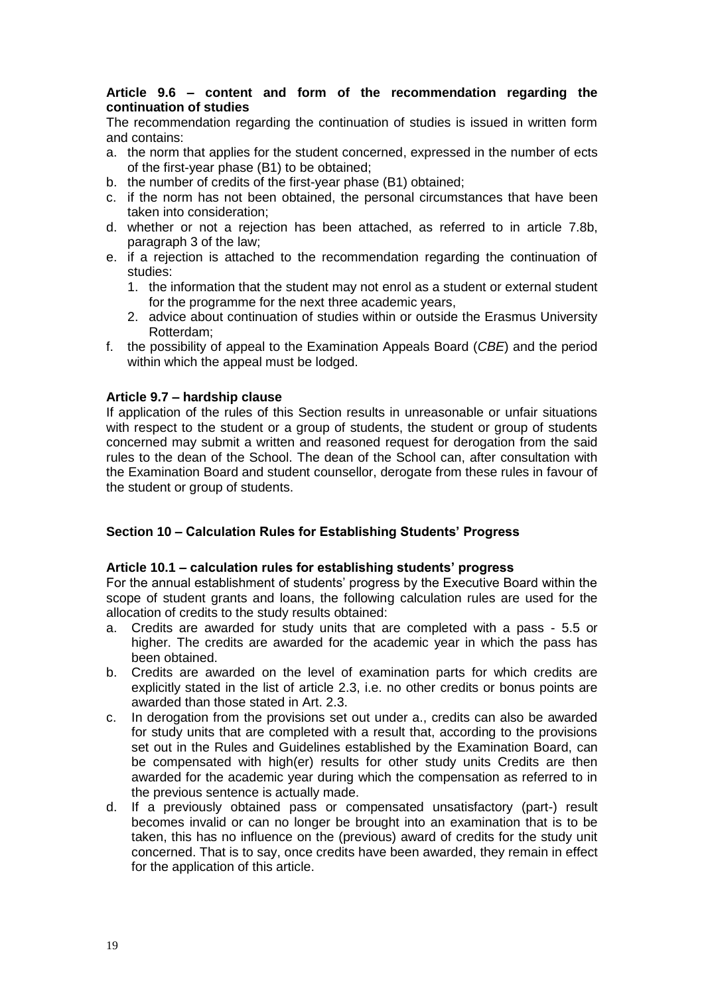#### <span id="page-18-0"></span>**Article 9.6 – content and form of the recommendation regarding the continuation of studies**

The recommendation regarding the continuation of studies is issued in written form and contains:

- a. the norm that applies for the student concerned, expressed in the number of ects of the first-year phase (B1) to be obtained;
- b. the number of credits of the first-year phase (B1) obtained;
- c. if the norm has not been obtained, the personal circumstances that have been taken into consideration;
- d. whether or not a rejection has been attached, as referred to in article 7.8b, paragraph 3 of the law;
- e. if a rejection is attached to the recommendation regarding the continuation of studies:
	- 1. the information that the student may not enrol as a student or external student for the programme for the next three academic years,
	- 2. advice about continuation of studies within or outside the Erasmus University Rotterdam;
- f. the possibility of appeal to the Examination Appeals Board (*CBE*) and the period within which the appeal must be lodged.

### <span id="page-18-1"></span>**Article 9.7 – hardship clause**

If application of the rules of this Section results in unreasonable or unfair situations with respect to the student or a group of students, the student or group of students concerned may submit a written and reasoned request for derogation from the said rules to the dean of the School. The dean of the School can, after consultation with the Examination Board and student counsellor, derogate from these rules in favour of the student or group of students.

## <span id="page-18-2"></span>**Section 10 – Calculation Rules for Establishing Students' Progress**

#### <span id="page-18-3"></span>**Article 10.1 – calculation rules for establishing students' progress**

For the annual establishment of students' progress by the Executive Board within the scope of student grants and loans, the following calculation rules are used for the allocation of credits to the study results obtained:

- a. Credits are awarded for study units that are completed with a pass 5.5 or higher. The credits are awarded for the academic year in which the pass has been obtained.
- b. Credits are awarded on the level of examination parts for which credits are explicitly stated in the list of article 2.3, i.e. no other credits or bonus points are awarded than those stated in Art. 2.3.
- c. In derogation from the provisions set out under a., credits can also be awarded for study units that are completed with a result that, according to the provisions set out in the Rules and Guidelines established by the Examination Board, can be compensated with high(er) results for other study units Credits are then awarded for the academic year during which the compensation as referred to in the previous sentence is actually made.
- d. If a previously obtained pass or compensated unsatisfactory (part-) result becomes invalid or can no longer be brought into an examination that is to be taken, this has no influence on the (previous) award of credits for the study unit concerned. That is to say, once credits have been awarded, they remain in effect for the application of this article.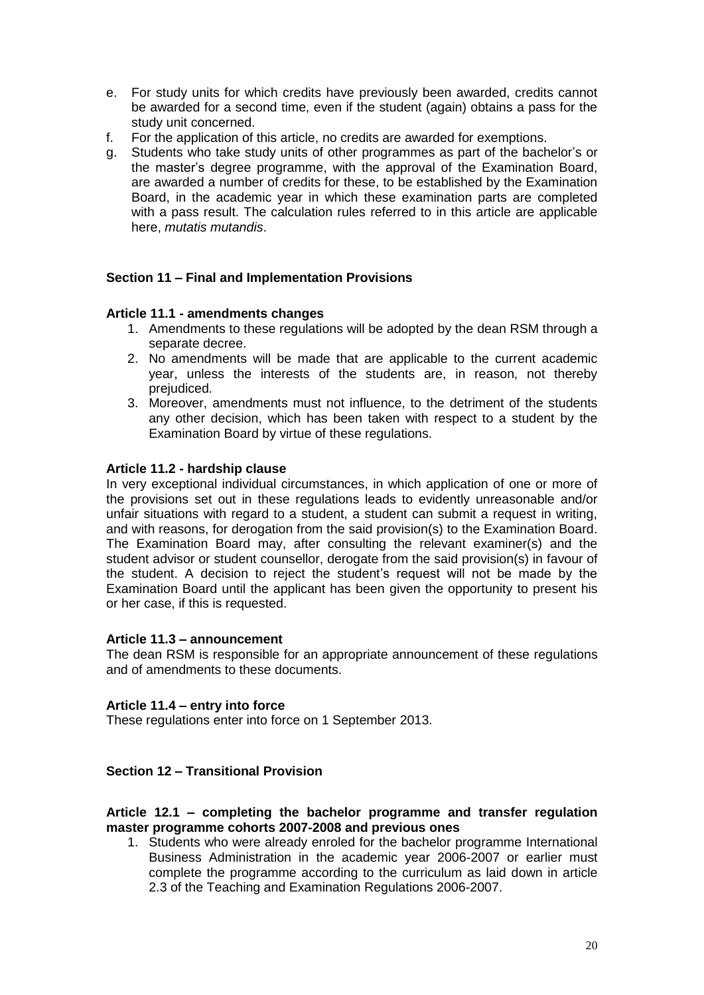- e. For study units for which credits have previously been awarded, credits cannot be awarded for a second time, even if the student (again) obtains a pass for the study unit concerned.
- f. For the application of this article, no credits are awarded for exemptions.
- g. Students who take study units of other programmes as part of the bachelor's or the master's degree programme, with the approval of the Examination Board, are awarded a number of credits for these, to be established by the Examination Board, in the academic year in which these examination parts are completed with a pass result. The calculation rules referred to in this article are applicable here, *mutatis mutandis*.

#### <span id="page-19-0"></span>**Section 11 – Final and Implementation Provisions**

#### <span id="page-19-1"></span>**Article 11.1 - amendments changes**

- 1. Amendments to these regulations will be adopted by the dean RSM through a separate decree.
- 2. No amendments will be made that are applicable to the current academic year, unless the interests of the students are, in reason, not thereby prejudiced.
- 3. Moreover, amendments must not influence, to the detriment of the students any other decision, which has been taken with respect to a student by the Examination Board by virtue of these regulations.

#### <span id="page-19-2"></span>**Article 11.2 - hardship clause**

In very exceptional individual circumstances, in which application of one or more of the provisions set out in these regulations leads to evidently unreasonable and/or unfair situations with regard to a student, a student can submit a request in writing, and with reasons, for derogation from the said provision(s) to the Examination Board. The Examination Board may, after consulting the relevant examiner(s) and the student advisor or student counsellor, derogate from the said provision(s) in favour of the student. A decision to reject the student's request will not be made by the Examination Board until the applicant has been given the opportunity to present his or her case, if this is requested.

#### <span id="page-19-3"></span>**Article 11.3 – announcement**

The dean RSM is responsible for an appropriate announcement of these regulations and of amendments to these documents.

#### <span id="page-19-4"></span>**Article 11.4 – entry into force**

These regulations enter into force on 1 September 2013.

## <span id="page-19-5"></span>**Section 12 – Transitional Provision**

#### <span id="page-19-6"></span>**Article 12.1 – completing the bachelor programme and transfer regulation master programme cohorts 2007-2008 and previous ones**

1. Students who were already enroled for the bachelor programme International Business Administration in the academic year 2006-2007 or earlier must complete the programme according to the curriculum as laid down in article 2.3 of the Teaching and Examination Regulations 2006-2007.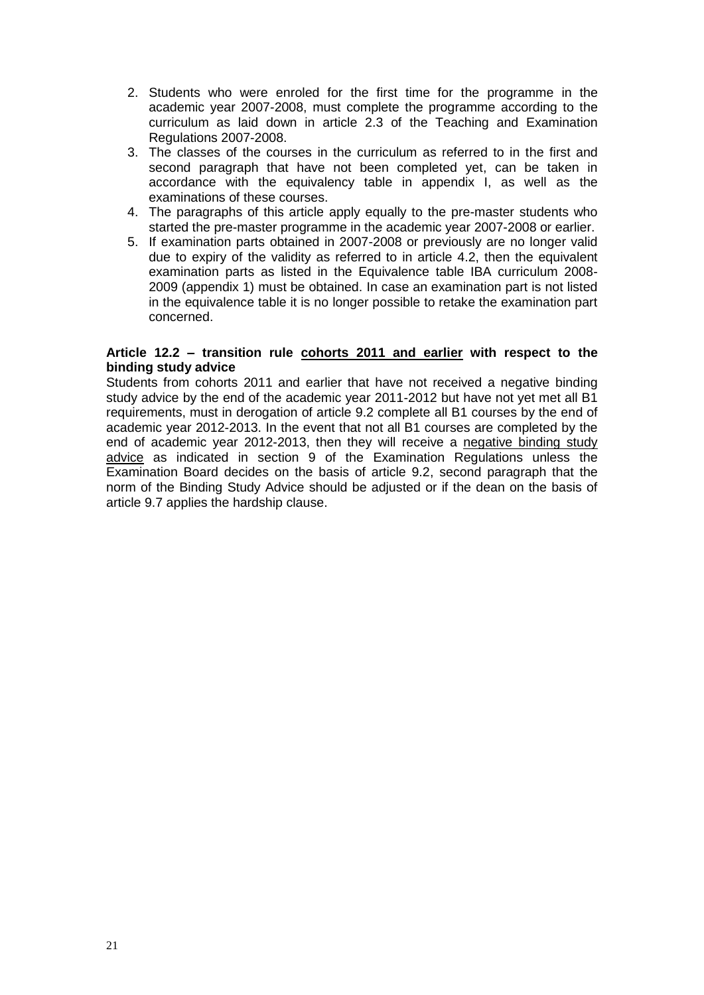- 2. Students who were enroled for the first time for the programme in the academic year 2007-2008, must complete the programme according to the curriculum as laid down in article 2.3 of the Teaching and Examination Regulations 2007-2008.
- 3. The classes of the courses in the curriculum as referred to in the first and second paragraph that have not been completed yet, can be taken in accordance with the equivalency table in appendix I, as well as the examinations of these courses.
- 4. The paragraphs of this article apply equally to the pre-master students who started the pre-master programme in the academic year 2007-2008 or earlier.
- 5. If examination parts obtained in 2007-2008 or previously are no longer valid due to expiry of the validity as referred to in article 4.2, then the equivalent examination parts as listed in the Equivalence table IBA curriculum 2008- 2009 (appendix 1) must be obtained. In case an examination part is not listed in the equivalence table it is no longer possible to retake the examination part concerned.

#### <span id="page-20-0"></span>**Article 12.2 – transition rule cohorts 2011 and earlier with respect to the binding study advice**

Students from cohorts 2011 and earlier that have not received a negative binding study advice by the end of the academic year 2011-2012 but have not yet met all B1 requirements, must in derogation of article 9.2 complete all B1 courses by the end of academic year 2012-2013. In the event that not all B1 courses are completed by the end of academic year 2012-2013, then they will receive a negative binding study advice as indicated in section 9 of the Examination Regulations unless the Examination Board decides on the basis of article 9.2, second paragraph that the norm of the Binding Study Advice should be adjusted or if the dean on the basis of article 9.7 applies the hardship clause.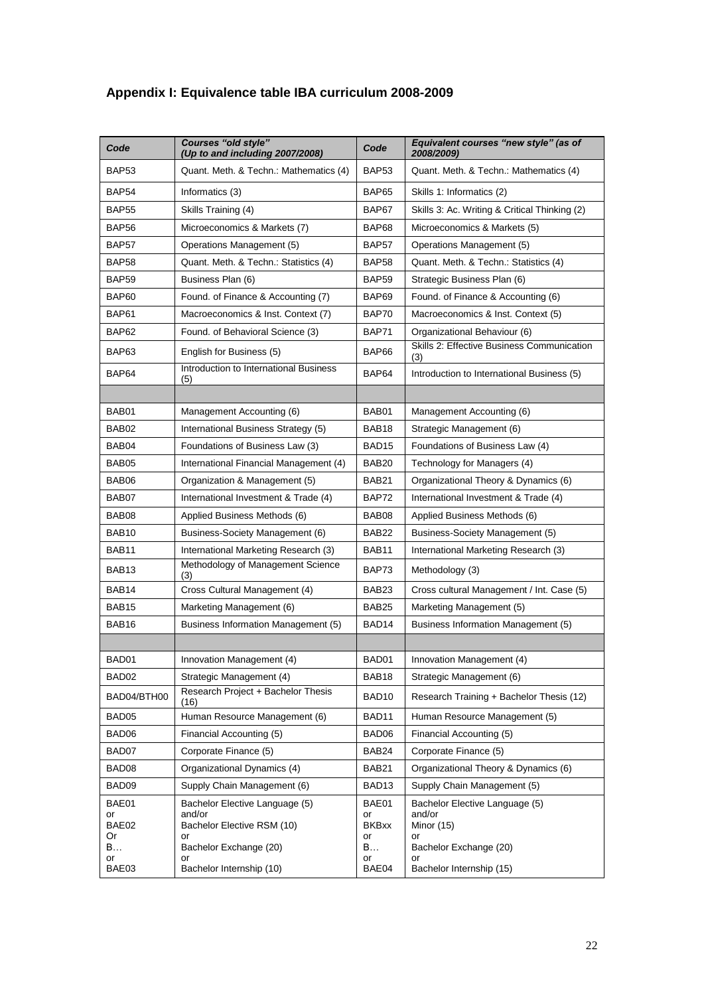| Code              | <b>Courses "old style"</b><br>(Up to and including 2007/2008) | Code               | Equivalent courses "new style" (as of<br>2008/2009) |
|-------------------|---------------------------------------------------------------|--------------------|-----------------------------------------------------|
| BAP53             | Quant. Meth. & Techn.: Mathematics (4)                        | <b>BAP53</b>       | Quant. Meth. & Techn.: Mathematics (4)              |
| BAP54             | Informatics (3)                                               | <b>BAP65</b>       | Skills 1: Informatics (2)                           |
| <b>BAP55</b>      | Skills Training (4)                                           | BAP67              | Skills 3: Ac. Writing & Critical Thinking (2)       |
| BAP56             | Microeconomics & Markets (7)                                  | BAP68              | Microeconomics & Markets (5)                        |
| BAP57             | Operations Management (5)                                     | BAP57              | Operations Management (5)                           |
| BAP58             | Quant. Meth. & Techn.: Statistics (4)                         | <b>BAP58</b>       | Quant. Meth. & Techn.: Statistics (4)               |
| BAP59             | Business Plan (6)                                             | <b>BAP59</b>       | Strategic Business Plan (6)                         |
| BAP60             | Found. of Finance & Accounting (7)                            | BAP69              | Found. of Finance & Accounting (6)                  |
| BAP61             | Macroeconomics & Inst. Context (7)                            | BAP70              | Macroeconomics & Inst. Context (5)                  |
| BAP62             | Found. of Behavioral Science (3)                              | BAP71              | Organizational Behaviour (6)                        |
| BAP63             | English for Business (5)                                      | BAP66              | Skills 2: Effective Business Communication<br>(3)   |
| BAP64             | Introduction to International Business<br>(5)                 | BAP64              | Introduction to International Business (5)          |
|                   |                                                               |                    |                                                     |
| BAB01             | Management Accounting (6)                                     | BAB01              | Management Accounting (6)                           |
| BAB02             | International Business Strategy (5)                           | BAB <sub>18</sub>  | Strategic Management (6)                            |
| BAB04             | Foundations of Business Law (3)                               | BAD <sub>15</sub>  | Foundations of Business Law (4)                     |
| BAB05             | International Financial Management (4)                        | BAB <sub>20</sub>  | Technology for Managers (4)                         |
| BAB06             | Organization & Management (5)                                 | BAB21              | Organizational Theory & Dynamics (6)                |
| BAB07             | International Investment & Trade (4)                          | BAP72              | International Investment & Trade (4)                |
| BAB08             | Applied Business Methods (6)                                  | BAB08              | Applied Business Methods (6)                        |
| BAB10             | Business-Society Management (6)                               | BAB <sub>22</sub>  | Business-Society Management (5)                     |
| BAB11             | International Marketing Research (3)                          | BAB <sub>11</sub>  | International Marketing Research (3)                |
| BAB13             | Methodology of Management Science<br>(3)                      | BAP73              | Methodology (3)                                     |
| BAB14             | Cross Cultural Management (4)                                 | BAB <sub>23</sub>  | Cross cultural Management / Int. Case (5)           |
| BAB <sub>15</sub> | Marketing Management (6)                                      | BAB <sub>25</sub>  | Marketing Management (5)                            |
| BAB16             | Business Information Management (5)                           | BAD <sub>14</sub>  | Business Information Management (5)                 |
|                   |                                                               |                    |                                                     |
| BAD01             | Innovation Management (4)                                     | BAD01              | Innovation Management (4)                           |
| BAD02             | Strategic Management (4)                                      | BAB <sub>18</sub>  | Strategic Management (6)                            |
| BAD04/BTH00       | Research Project + Bachelor Thesis<br>(16)                    | BAD <sub>10</sub>  | Research Training + Bachelor Thesis (12)            |
| BAD05             | Human Resource Management (6)                                 | BAD11              | Human Resource Management (5)                       |
| BAD06             | Financial Accounting (5)                                      | BAD06              | Financial Accounting (5)                            |
| BAD07             | Corporate Finance (5)                                         | BAB24              | Corporate Finance (5)                               |
| BAD08             | Organizational Dynamics (4)                                   | BAB21              | Organizational Theory & Dynamics (6)                |
| BAD09             | Supply Chain Management (6)                                   | BAD <sub>13</sub>  | Supply Chain Management (5)                         |
| BAE01             | Bachelor Elective Language (5)                                | BAE01              | Bachelor Elective Language (5)                      |
| or<br>BAE02       | and/or<br>Bachelor Elective RSM (10)                          | or<br><b>BKBxx</b> | and/or<br>Minor (15)                                |
| Or                | or                                                            | or                 | or                                                  |
| B<br>or           | Bachelor Exchange (20)<br>or                                  | B<br>or            | Bachelor Exchange (20)<br>or                        |
| BAE03             | Bachelor Internship (10)                                      | BAE04              | Bachelor Internship (15)                            |

# **Appendix I: Equivalence table IBA curriculum 2008-2009**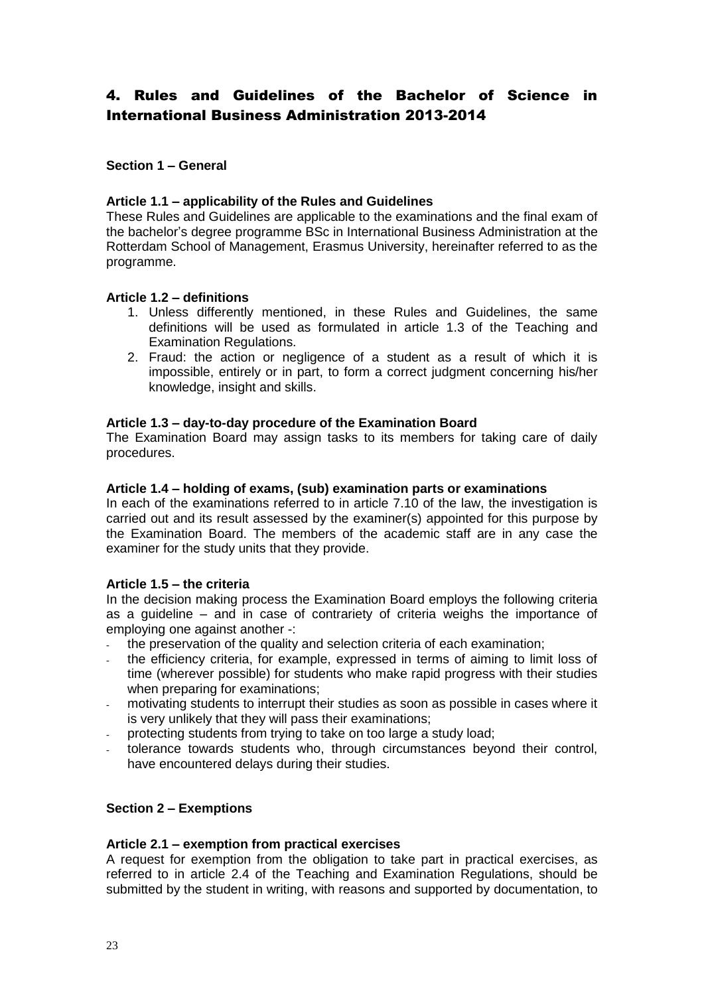## <span id="page-22-0"></span>4. Rules and Guidelines of the Bachelor of Science in International Business Administration 2013-2014

### <span id="page-22-1"></span>**Section 1 – General**

#### <span id="page-22-2"></span>**Article 1.1 – applicability of the Rules and Guidelines**

These Rules and Guidelines are applicable to the examinations and the final exam of the bachelor's degree programme BSc in International Business Administration at the Rotterdam School of Management, Erasmus University, hereinafter referred to as the programme.

#### <span id="page-22-3"></span>**Article 1.2 – definitions**

- 1. Unless differently mentioned, in these Rules and Guidelines, the same definitions will be used as formulated in article 1.3 of the Teaching and Examination Regulations.
- 2. Fraud: the action or negligence of a student as a result of which it is impossible, entirely or in part, to form a correct judgment concerning his/her knowledge, insight and skills.

#### <span id="page-22-4"></span>**Article 1.3 – day-to-day procedure of the Examination Board**

The Examination Board may assign tasks to its members for taking care of daily procedures.

#### <span id="page-22-5"></span>**Article 1.4 – holding of exams, (sub) examination parts or examinations**

In each of the examinations referred to in article 7.10 of the law, the investigation is carried out and its result assessed by the examiner(s) appointed for this purpose by the Examination Board. The members of the academic staff are in any case the examiner for the study units that they provide.

#### <span id="page-22-6"></span>**Article 1.5 – the criteria**

In the decision making process the Examination Board employs the following criteria as a guideline – and in case of contrariety of criteria weighs the importance of employing one against another -:

- the preservation of the quality and selection criteria of each examination;
- the efficiency criteria, for example, expressed in terms of aiming to limit loss of time (wherever possible) for students who make rapid progress with their studies when preparing for examinations;
- motivating students to interrupt their studies as soon as possible in cases where it is very unlikely that they will pass their examinations;
- protecting students from trying to take on too large a study load;
- tolerance towards students who, through circumstances beyond their control, have encountered delays during their studies.

## <span id="page-22-7"></span>**Section 2 – Exemptions**

#### <span id="page-22-8"></span>**Article 2.1 – exemption from practical exercises**

A request for exemption from the obligation to take part in practical exercises, as referred to in article 2.4 of the Teaching and Examination Regulations, should be submitted by the student in writing, with reasons and supported by documentation, to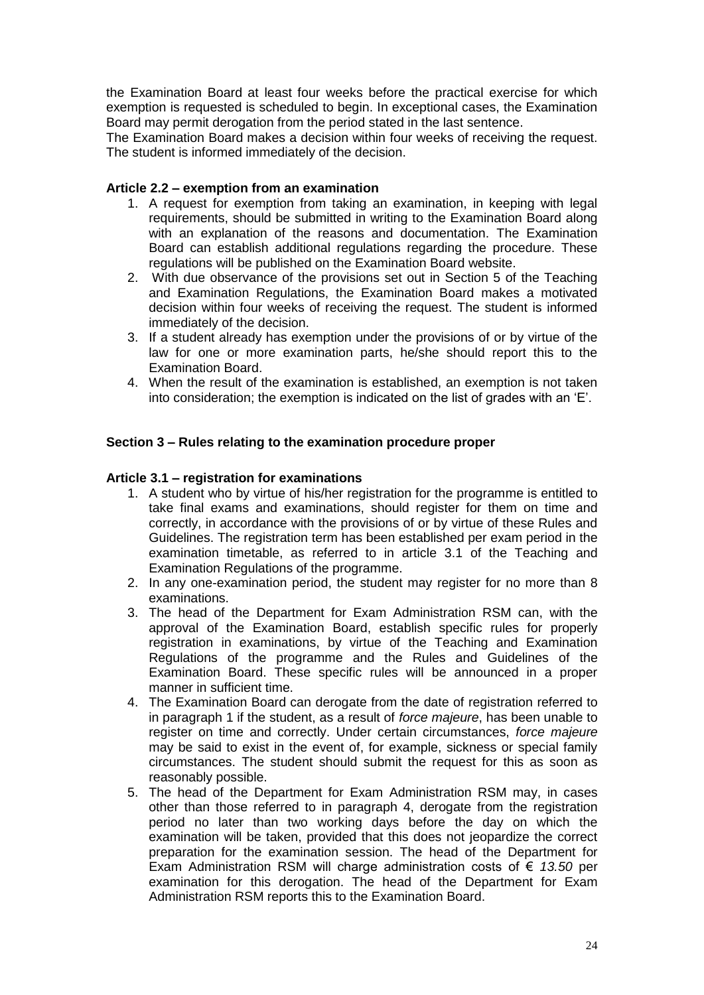the Examination Board at least four weeks before the practical exercise for which exemption is requested is scheduled to begin. In exceptional cases, the Examination Board may permit derogation from the period stated in the last sentence.

The Examination Board makes a decision within four weeks of receiving the request. The student is informed immediately of the decision.

### <span id="page-23-0"></span>**Article 2.2 – exemption from an examination**

- 1. A request for exemption from taking an examination, in keeping with legal requirements, should be submitted in writing to the Examination Board along with an explanation of the reasons and documentation. The Examination Board can establish additional regulations regarding the procedure. These regulations will be published on the Examination Board website.
- 2. With due observance of the provisions set out in Section 5 of the Teaching and Examination Regulations, the Examination Board makes a motivated decision within four weeks of receiving the request. The student is informed immediately of the decision.
- 3. If a student already has exemption under the provisions of or by virtue of the law for one or more examination parts, he/she should report this to the Examination Board.
- 4. When the result of the examination is established, an exemption is not taken into consideration; the exemption is indicated on the list of grades with an 'E'.

#### <span id="page-23-1"></span>**Section 3 – Rules relating to the examination procedure proper**

#### <span id="page-23-2"></span>**Article 3.1 – registration for examinations**

- 1. A student who by virtue of his/her registration for the programme is entitled to take final exams and examinations, should register for them on time and correctly, in accordance with the provisions of or by virtue of these Rules and Guidelines. The registration term has been established per exam period in the examination timetable, as referred to in article 3.1 of the Teaching and Examination Regulations of the programme.
- 2. In any one-examination period, the student may register for no more than 8 examinations.
- 3. The head of the Department for Exam Administration RSM can, with the approval of the Examination Board, establish specific rules for properly registration in examinations, by virtue of the Teaching and Examination Regulations of the programme and the Rules and Guidelines of the Examination Board. These specific rules will be announced in a proper manner in sufficient time.
- 4. The Examination Board can derogate from the date of registration referred to in paragraph 1 if the student, as a result of *force majeure*, has been unable to register on time and correctly. Under certain circumstances, *force majeure* may be said to exist in the event of, for example, sickness or special family circumstances. The student should submit the request for this as soon as reasonably possible.
- 5. The head of the Department for Exam Administration RSM may, in cases other than those referred to in paragraph 4, derogate from the registration period no later than two working days before the day on which the examination will be taken, provided that this does not jeopardize the correct preparation for the examination session. The head of the Department for Exam Administration RSM will charge administration costs of € *13.50* per examination for this derogation. The head of the Department for Exam Administration RSM reports this to the Examination Board.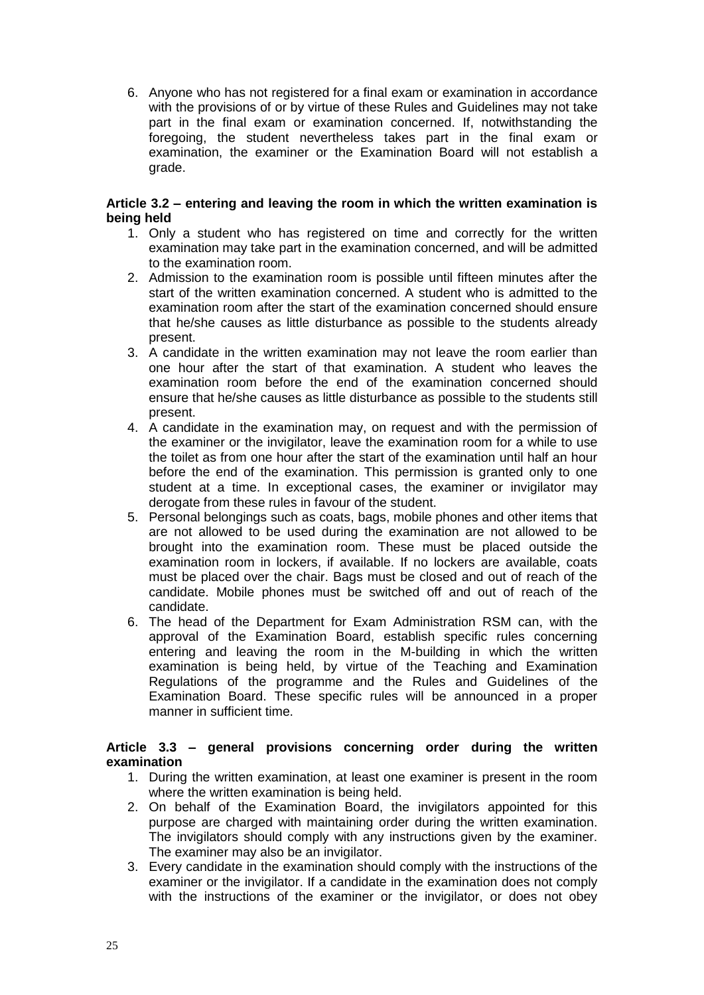6. Anyone who has not registered for a final exam or examination in accordance with the provisions of or by virtue of these Rules and Guidelines may not take part in the final exam or examination concerned. If, notwithstanding the foregoing, the student nevertheless takes part in the final exam or examination, the examiner or the Examination Board will not establish a grade.

## <span id="page-24-0"></span>**Article 3.2 – entering and leaving the room in which the written examination is being held**

- 1. Only a student who has registered on time and correctly for the written examination may take part in the examination concerned, and will be admitted to the examination room.
- 2. Admission to the examination room is possible until fifteen minutes after the start of the written examination concerned. A student who is admitted to the examination room after the start of the examination concerned should ensure that he/she causes as little disturbance as possible to the students already present.
- 3. A candidate in the written examination may not leave the room earlier than one hour after the start of that examination. A student who leaves the examination room before the end of the examination concerned should ensure that he/she causes as little disturbance as possible to the students still present.
- 4. A candidate in the examination may, on request and with the permission of the examiner or the invigilator, leave the examination room for a while to use the toilet as from one hour after the start of the examination until half an hour before the end of the examination. This permission is granted only to one student at a time. In exceptional cases, the examiner or invigilator may derogate from these rules in favour of the student.
- 5. Personal belongings such as coats, bags, mobile phones and other items that are not allowed to be used during the examination are not allowed to be brought into the examination room. These must be placed outside the examination room in lockers, if available. If no lockers are available, coats must be placed over the chair. Bags must be closed and out of reach of the candidate. Mobile phones must be switched off and out of reach of the candidate.
- 6. The head of the Department for Exam Administration RSM can, with the approval of the Examination Board, establish specific rules concerning entering and leaving the room in the M-building in which the written examination is being held, by virtue of the Teaching and Examination Regulations of the programme and the Rules and Guidelines of the Examination Board. These specific rules will be announced in a proper manner in sufficient time.

## <span id="page-24-1"></span>**Article 3.3 – general provisions concerning order during the written examination**

- 1. During the written examination, at least one examiner is present in the room where the written examination is being held.
- 2. On behalf of the Examination Board, the invigilators appointed for this purpose are charged with maintaining order during the written examination. The invigilators should comply with any instructions given by the examiner. The examiner may also be an invigilator.
- 3. Every candidate in the examination should comply with the instructions of the examiner or the invigilator. If a candidate in the examination does not comply with the instructions of the examiner or the invigilator, or does not obey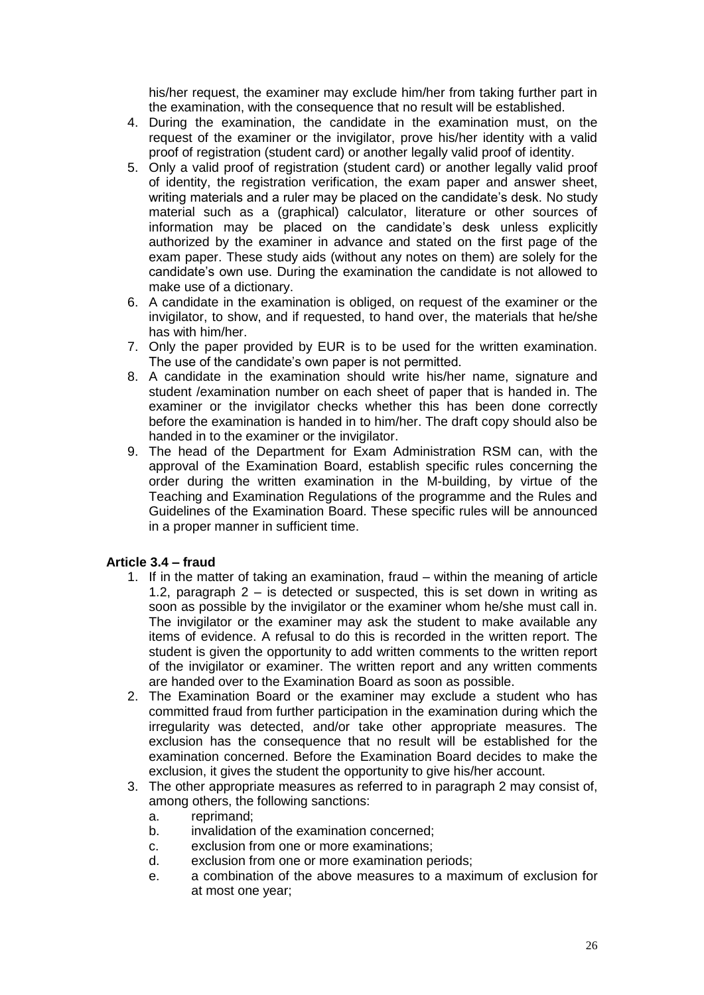his/her request, the examiner may exclude him/her from taking further part in the examination, with the consequence that no result will be established.

- 4. During the examination, the candidate in the examination must, on the request of the examiner or the invigilator, prove his/her identity with a valid proof of registration (student card) or another legally valid proof of identity.
- 5. Only a valid proof of registration (student card) or another legally valid proof of identity, the registration verification, the exam paper and answer sheet, writing materials and a ruler may be placed on the candidate's desk. No study material such as a (graphical) calculator, literature or other sources of information may be placed on the candidate's desk unless explicitly authorized by the examiner in advance and stated on the first page of the exam paper. These study aids (without any notes on them) are solely for the candidate's own use. During the examination the candidate is not allowed to make use of a dictionary.
- 6. A candidate in the examination is obliged, on request of the examiner or the invigilator, to show, and if requested, to hand over, the materials that he/she has with him/her.
- 7. Only the paper provided by EUR is to be used for the written examination. The use of the candidate's own paper is not permitted.
- 8. A candidate in the examination should write his/her name, signature and student /examination number on each sheet of paper that is handed in. The examiner or the invigilator checks whether this has been done correctly before the examination is handed in to him/her. The draft copy should also be handed in to the examiner or the invigilator.
- 9. The head of the Department for Exam Administration RSM can, with the approval of the Examination Board, establish specific rules concerning the order during the written examination in the M-building, by virtue of the Teaching and Examination Regulations of the programme and the Rules and Guidelines of the Examination Board. These specific rules will be announced in a proper manner in sufficient time.

## <span id="page-25-0"></span>**Article 3.4 – fraud**

- 1. If in the matter of taking an examination, fraud within the meaning of article 1.2, paragraph  $2 -$  is detected or suspected, this is set down in writing as soon as possible by the invigilator or the examiner whom he/she must call in. The invigilator or the examiner may ask the student to make available any items of evidence. A refusal to do this is recorded in the written report. The student is given the opportunity to add written comments to the written report of the invigilator or examiner. The written report and any written comments are handed over to the Examination Board as soon as possible.
- 2. The Examination Board or the examiner may exclude a student who has committed fraud from further participation in the examination during which the irregularity was detected, and/or take other appropriate measures. The exclusion has the consequence that no result will be established for the examination concerned. Before the Examination Board decides to make the exclusion, it gives the student the opportunity to give his/her account.
- 3. The other appropriate measures as referred to in paragraph 2 may consist of, among others, the following sanctions:
	- a. reprimand;
	- b. invalidation of the examination concerned;
	- c. exclusion from one or more examinations;
	- d. exclusion from one or more examination periods;
	- e. a combination of the above measures to a maximum of exclusion for at most one year;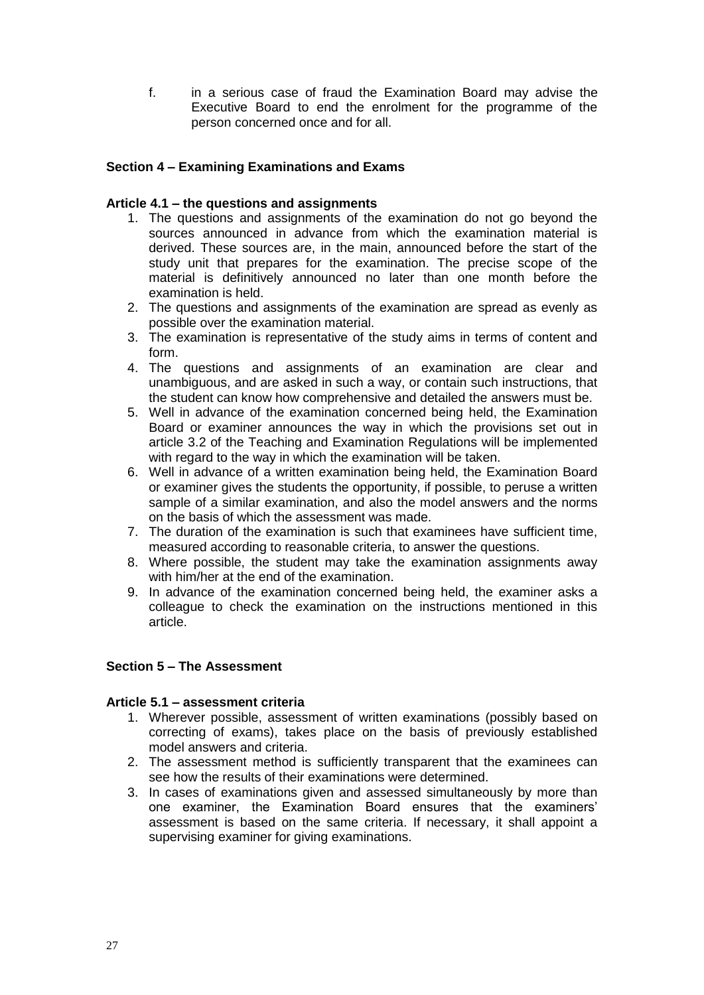f. in a serious case of fraud the Examination Board may advise the Executive Board to end the enrolment for the programme of the person concerned once and for all.

## <span id="page-26-0"></span>**Section 4 – Examining Examinations and Exams**

## <span id="page-26-1"></span>**Article 4.1 – the questions and assignments**

- 1. The questions and assignments of the examination do not go beyond the sources announced in advance from which the examination material is derived. These sources are, in the main, announced before the start of the study unit that prepares for the examination. The precise scope of the material is definitively announced no later than one month before the examination is held.
- 2. The questions and assignments of the examination are spread as evenly as possible over the examination material.
- 3. The examination is representative of the study aims in terms of content and form.
- 4. The questions and assignments of an examination are clear and unambiguous, and are asked in such a way, or contain such instructions, that the student can know how comprehensive and detailed the answers must be.
- 5. Well in advance of the examination concerned being held, the Examination Board or examiner announces the way in which the provisions set out in article 3.2 of the Teaching and Examination Regulations will be implemented with regard to the way in which the examination will be taken.
- 6. Well in advance of a written examination being held, the Examination Board or examiner gives the students the opportunity, if possible, to peruse a written sample of a similar examination, and also the model answers and the norms on the basis of which the assessment was made.
- 7. The duration of the examination is such that examinees have sufficient time, measured according to reasonable criteria, to answer the questions.
- 8. Where possible, the student may take the examination assignments away with him/her at the end of the examination.
- 9. In advance of the examination concerned being held, the examiner asks a colleague to check the examination on the instructions mentioned in this article.

## <span id="page-26-2"></span>**Section 5 – The Assessment**

#### <span id="page-26-3"></span>**Article 5.1 – assessment criteria**

- 1. Wherever possible, assessment of written examinations (possibly based on correcting of exams), takes place on the basis of previously established model answers and criteria.
- 2. The assessment method is sufficiently transparent that the examinees can see how the results of their examinations were determined.
- 3. In cases of examinations given and assessed simultaneously by more than one examiner, the Examination Board ensures that the examiners' assessment is based on the same criteria. If necessary, it shall appoint a supervising examiner for giving examinations.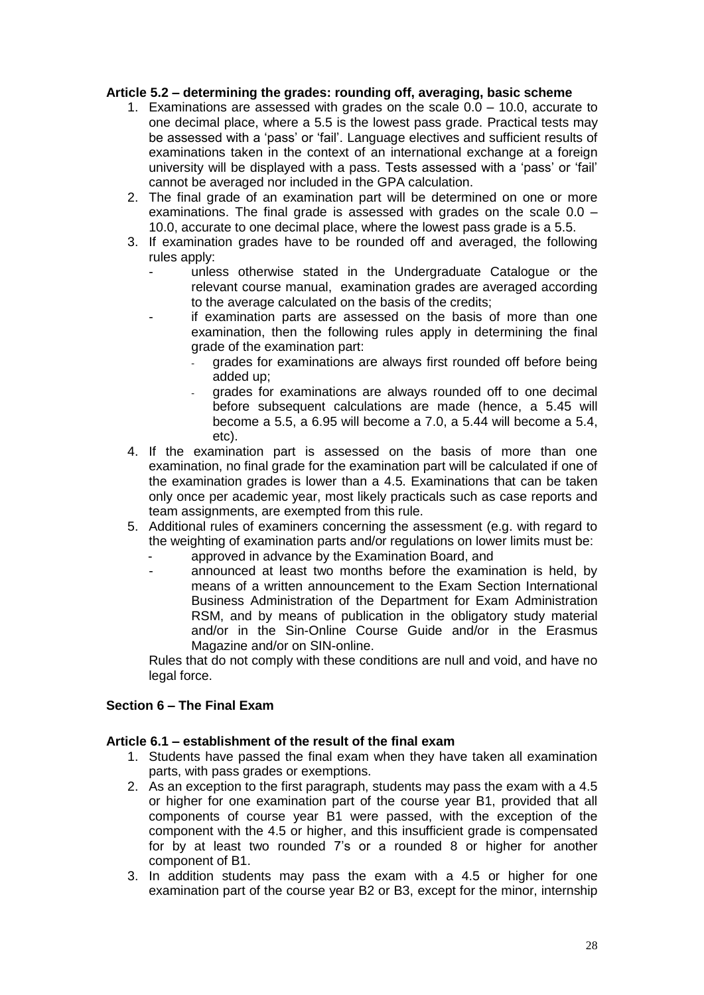## <span id="page-27-0"></span>**Article 5.2 – determining the grades: rounding off, averaging, basic scheme**

- 1. Examinations are assessed with grades on the scale 0.0 10.0, accurate to one decimal place, where a 5.5 is the lowest pass grade. Practical tests may be assessed with a 'pass' or 'fail'. Language electives and sufficient results of examinations taken in the context of an international exchange at a foreign university will be displayed with a pass. Tests assessed with a 'pass' or 'fail' cannot be averaged nor included in the GPA calculation.
- 2. The final grade of an examination part will be determined on one or more examinations. The final grade is assessed with grades on the scale 0.0 – 10.0, accurate to one decimal place, where the lowest pass grade is a 5.5.
- 3. If examination grades have to be rounded off and averaged, the following rules apply:
	- unless otherwise stated in the Undergraduate Catalogue or the relevant course manual, examination grades are averaged according to the average calculated on the basis of the credits;
	- if examination parts are assessed on the basis of more than one examination, then the following rules apply in determining the final grade of the examination part:
		- grades for examinations are always first rounded off before being added up;
		- grades for examinations are always rounded off to one decimal before subsequent calculations are made (hence, a 5.45 will become a 5.5, a 6.95 will become a 7.0, a 5.44 will become a 5.4, etc).
- 4. If the examination part is assessed on the basis of more than one examination, no final grade for the examination part will be calculated if one of the examination grades is lower than a 4.5. Examinations that can be taken only once per academic year, most likely practicals such as case reports and team assignments, are exempted from this rule.
- 5. Additional rules of examiners concerning the assessment (e.g. with regard to the weighting of examination parts and/or regulations on lower limits must be:
	- approved in advance by the Examination Board, and
	- announced at least two months before the examination is held, by means of a written announcement to the Exam Section International Business Administration of the Department for Exam Administration RSM, and by means of publication in the obligatory study material and/or in the Sin-Online Course Guide and/or in the Erasmus Magazine and/or on SIN-online.

Rules that do not comply with these conditions are null and void, and have no legal force.

## <span id="page-27-1"></span>**Section 6 – The Final Exam**

#### <span id="page-27-2"></span>**Article 6.1 – establishment of the result of the final exam**

- 1. Students have passed the final exam when they have taken all examination parts, with pass grades or exemptions.
- 2. As an exception to the first paragraph, students may pass the exam with a 4.5 or higher for one examination part of the course year B1, provided that all components of course year B1 were passed, with the exception of the component with the 4.5 or higher, and this insufficient grade is compensated for by at least two rounded 7's or a rounded 8 or higher for another component of B1.
- 3. In addition students may pass the exam with a 4.5 or higher for one examination part of the course year B2 or B3, except for the minor, internship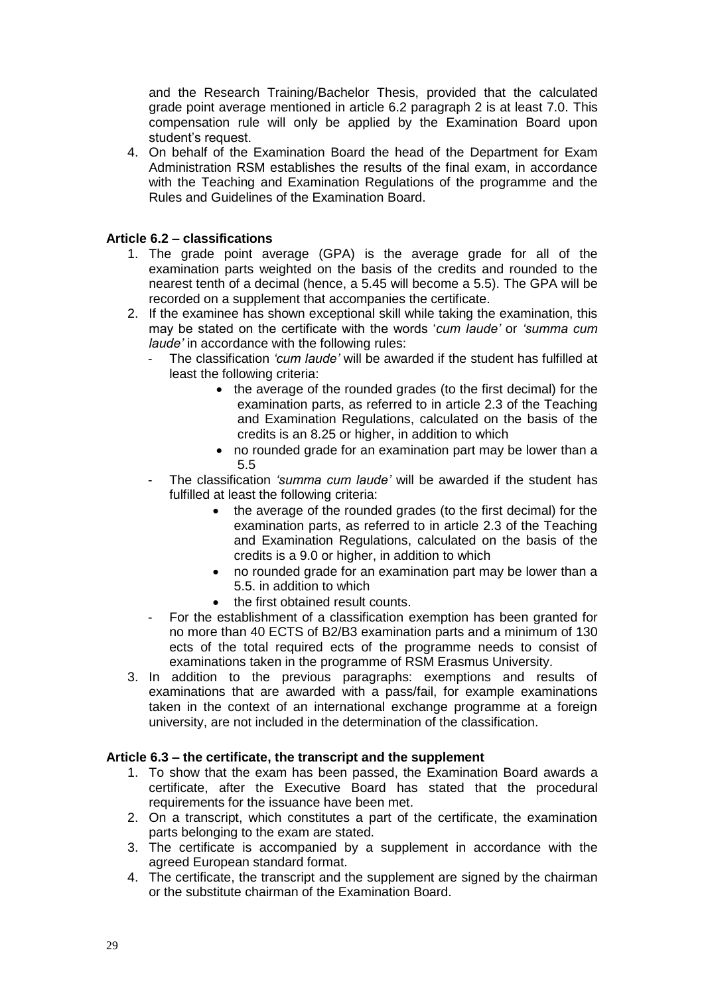and the Research Training/Bachelor Thesis, provided that the calculated grade point average mentioned in article 6.2 paragraph 2 is at least 7.0. This compensation rule will only be applied by the Examination Board upon student's request.

4. On behalf of the Examination Board the head of the Department for Exam Administration RSM establishes the results of the final exam, in accordance with the Teaching and Examination Regulations of the programme and the Rules and Guidelines of the Examination Board.

## <span id="page-28-0"></span>**Article 6.2 – classifications**

- 1. The grade point average (GPA) is the average grade for all of the examination parts weighted on the basis of the credits and rounded to the nearest tenth of a decimal (hence, a 5.45 will become a 5.5). The GPA will be recorded on a supplement that accompanies the certificate.
- 2. If the examinee has shown exceptional skill while taking the examination, this may be stated on the certificate with the words '*cum laude'* or *'summa cum laude'* in accordance with the following rules:
	- The classification *'cum laude'* will be awarded if the student has fulfilled at least the following criteria:
		- the average of the rounded grades (to the first decimal) for the examination parts, as referred to in article 2.3 of the Teaching and Examination Regulations, calculated on the basis of the credits is an 8.25 or higher, in addition to which
		- no rounded grade for an examination part may be lower than a 5.5
	- The classification *'summa cum laude'* will be awarded if the student has fulfilled at least the following criteria:
		- the average of the rounded grades (to the first decimal) for the examination parts, as referred to in article 2.3 of the Teaching and Examination Regulations, calculated on the basis of the credits is a 9.0 or higher, in addition to which
		- no rounded grade for an examination part may be lower than a 5.5. in addition to which
		- the first obtained result counts.
	- For the establishment of a classification exemption has been granted for no more than 40 ECTS of B2/B3 examination parts and a minimum of 130 ects of the total required ects of the programme needs to consist of examinations taken in the programme of RSM Erasmus University.
- 3. In addition to the previous paragraphs: exemptions and results of examinations that are awarded with a pass/fail, for example examinations taken in the context of an international exchange programme at a foreign university, are not included in the determination of the classification.

#### <span id="page-28-1"></span>**Article 6.3 – the certificate, the transcript and the supplement**

- 1. To show that the exam has been passed, the Examination Board awards a certificate, after the Executive Board has stated that the procedural requirements for the issuance have been met.
- 2. On a transcript, which constitutes a part of the certificate, the examination parts belonging to the exam are stated.
- 3. The certificate is accompanied by a supplement in accordance with the agreed European standard format.
- 4. The certificate, the transcript and the supplement are signed by the chairman or the substitute chairman of the Examination Board.